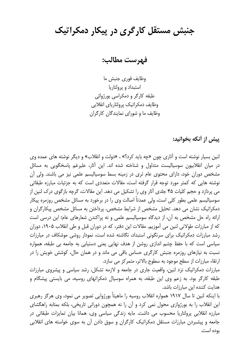جنبش مستقل کارگری در پیکار دمکراتیک

فهرست مطالب:

وظايف فوري جنبش ما استبداد و پرولتاریا طبقه کارگر و دمکراسی بورژوائی وظايف دمكراتيك پرولتارياي انقلابي وظایف ما و شورای نمایندگان کارگران

پیش از آنکه بخوانید:

لنین بسیار نوشته است و آثاری چون «چه باید کرد؟» ، «دولت و انقلاب» و دیگر نوشته های عمده وی در میان انقلابیون سوسیالیست متداول و شناخته شده اند. این آثار، علیرغم پاسخگویی به مسائل مشخص دوران خود، دارای محتوی عام تری در زمینه بسط سوسیالیسم علمی نیز می باشند. ولی آن نوشته هایی که کمتر مورد توجه قرار گرفته است، مقالات متعددی است که به جزئیات مبارزه طبقاتی مي پردازد و حجم کليات ۴۵ جلدي آثار وي را تشکيل مي دهد. اين مقالات، گرچه بازگوي درک لنين از سوسیالیسم علمی بطور کلی است، ولی عمدتاً اصالت وی را در برخورد به مسائل مشخص روزمره پیکار دمکراتیک نشان می دهد. تحلیل مشخص از شرایط مشخص، پرداختن به مسائل مشخص پیکارگران و ارائه راه حل مشخص به آن، از دیدگاه سوسیالیسم علمی و نه پراکندن شعارهای عام؛ این درسی است که از مبارزات طولانی لنین می آموزیم. مقالات این دفتر، که در دوران قبل و طی انقلاب ۱۹۰۵، دوران رشد مبارزات دمکراتیک برای سرنگونی استبداد، نگاشته شده است، نمودار روشی موشکاف در مبارزات سیاسی است که با حفظ چشم اندازی روشن از هدف نهایی یعنی دستیابی به جامعه بی طبقه، همواره نسبت به نیازهای روزمره جنبش کارگری حساس باقی می ماند و در همان حال، کوشش خویش را در ارتقاء مبارزات از سطح موجود به سطوح بالاتر، متمركز مي سازد.

مبارزات دمکراتیک نزد لنین، واقعیت جاری در جامعه و لازمه تشکل، رشد سیاسی و پیشروی مبارزات طبقه کارگر بود. به زعم وی این طبقه، به همراه سوسیال دمکراتهای روسیه، می بایستی پیشگام و هدایت کننده این مبارزات باشد.

با اینکه لنین تا سال ۱۹۱۷ همواره انقلاب روسیه را ماهیتاً بورژوایی تصویر می نمود، وی هرگز رهبری این انقلاب را به بورژوازی محول نمی کرد و آن را نه همچون دورانی تاریخی، بلکه بمثابه راهگشای مبارزہ انقلابی پرولتاریا محسوب می داشت. مایه زندگی سیاسی وی، همانا بیان تمایزات طبقاتی در جامعه و پیشبردن مبارزات مستقل دمکراتیک کارگران و سوق دادن آن به سوی خواسته های انقلابی بوده است.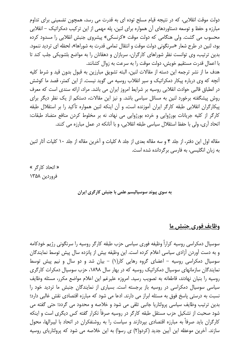دولت موقت انقلابی، که در نتیجه قیام مسلح توده ای به قدرت می رسد، همچون تضمینی برای تداوم مبارزه و حفظ و توسعه دستاوردهای آن همواره برای لنین، پله مهمی از این ترکیب دمکراتیک – انقلابی محسوب می گشت. ولی هنگامی که دولت موقت «کرنسکی» پیشروی جنبش انقلابی را مسدود کرده بود، لنين در طرح شعار «سرنگوني دولت موقت و انتقال تمامي قدرت به شوراها»، لحظه اي ترديد ننمود. بدین ترتیب، وی توانست نظر شوراهای کارگران، سربازان و دهقانان را به مواضع بلشویکی جلب کند تا با اعمال قدرت مستقیم خویش، دولت موقت را به سرعت به زوال کشانند.

هدف ما از نشر ترجمه این دسته از مقالات لنین، البته تشویق مبارزین به قبول بدون قید و شرط کلیه آنچه که وی درباره پیکار دمکراتیک و سیر انقلاب روسیه می گوید نیست. از این کمتر، قصد ما کوشش در انطباق قالبی حوادث انقلابی روسیه بر شرایط امروز ایران می باشد. مراد، ارائه سندی است که معرف روش پیشگفته برخورد لنین به مسائل سیاسی باشد. و نیز این مقالات، دستکم از یک نظر دیگر برای پیکارگران انقلابی طبقه کارگر ایران آموزنده است، و آن اینکه لنین همواره تأکید را بر استقلال طبقه كارگر از كليه جريانات بورژوايي و خرده بورژوايي مي نهاد، نه بر مخلوط كردن منافع متضاد طبقات: اتحاد آری، ولی با حفظ استقلال سیاسی طبقه انقلابی، و با آنانکه در عمل مبارزه می کنند.

مقاله اول این دفتر، از جلد ۴ و سه مقاله بعدی از جلد ۸ کلیات و آخرین مقاله از جلد ۱۰ کلیات آثار لنین به زبان انگلیسی، به فارسی برگردانده شده است.

« اتحاد کارگر » فروردين ١٣۵٨

## به سوی پیوند سوسیالیسم علمی با جنبش کارگری ایران

## <u>وظايف فوري جنبش ما</u>

سوسیال دمکراسی روسیه کراراً وظیفه فوری سیاسی حزب طبقه کارگر روسیه را سرنگونی رژیم خودکامه و به دست آوردن آزادی سیاسی اعلام کرده است. این وظیفه بیش از پانزده سال پیش توسط نمایندگان سوسیال دمکراسی روسیه – اعضای گروه رهایی کار(۱) – بیان شد و دو سال و نیم پیش توسط نمایندگان سازمانهای سوسیال دمکراتیک روسیه که در بهار سال ۱۸۹۸، حزب سوسیال دمکرات کارگری روسيه را بنيان نهادند، قاطعانه به تصويب رسيد. امروزه عليرغم اين اعلام مواضع مكرر، مسئله وظايف سیاسی سوسیال دمکراسی در روسیه باز برجسته است. بسیاری از نمایندگان جنبش ما تردید خود را نسبت به درستی پاسخ فوق به مسئله ابراز می دارند. ادعا می شود که مبارزه اقتصادی نقش غالبی دارد؛ بدین ترتیب وظایف سیاسی پرولتاریا جانبی تلقی می شود و خلاصه و محدود می گردد؛ حتی گفته می شود صحبت از تشکیل جزب مستقل طبقه کارگر در روسیه صرفاً تکرار گفته کس دیگری است و اینکه کارگران باید صرفاً به مبارزه اقتصادی بیردازند و سیاست را به روشنفکران در اتحاد با لیبرالها، محول سازند. آخرین موعظه این آیین جدید (کردو(۲) ی رسوا) به این خلاصه می شود که پرولتاریای روسیه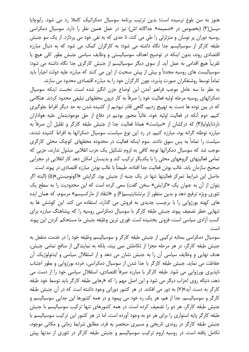هنوز به سن بلوغ نرسیده است؛ بدین ترتیب برنامه سوسیال دمکراتیک کاملا رد می شود. رابوچایا میسل(٣) (بخصوص در «ضمیمه» جداگانه اش) نیز در عمل همین نظر را دارد. سوسیال دمکراسی روسیه دوران پر نوسان و متزلزلی را طی می کند، تا حدی که به نفی خود می پردازد. از یک سو جنبش طبقه کارگر از سوسیالیسم جدا نگاه داشته می شود؛ به کارگران کمک می شود که به دنبال مبارزه اقتصادی روند، بدون اینکه در توضیح اهداف سوسیالیستی و وظایف سیاسی جنبش بطور کلی هیچ یا تقریباً هیچ اقدامی به عمل آید. از سوی دیگر سوسیالیسم از جنبش کارگری جدا نگاه داشته می شود؛ سوسیالیست های روسیه مجدداً و بیش از پیش صحبت از این می کنند که مبارزه علیه دولت اجباراً باید تماماً توسط روشنفکران صورت پذیرد، چون کارگران خود را به مبارزه اقتصادی محدود می سازند.

به نظر ما سه عامل موجب فراهم آمدن این اوضاع حزن انگیز شده است. نخست اینکه سوسیال دمکراتهای روسیه مرحله اولیه فعالیت خود را صرفاً به کار درون محفلهای تبلیغی محدود کردند. هنگامی که در بین توده ها دست به تهییج زدیم، گاهی قادر نبودیم از کشیده شدن به حد دیگر افراط جلوگیری کنیم. دوم آنکه در فعالیت اولیه خود، غالباً مجبور بودیم در دفاع از حق موجودیتمان علیه هواداران ناردنایاولیا(۴) که درکشان از «سیاست» همانا فعالیت جدا از جنبش طبقه کارگر و تقلیل آن صرفاً به مبارزه توطئه گرانه بود، مبارزه کنیم. در رد این نوع سیاست، سوسیال دمکراتها به افراط کشیده شدند، سیاست را تماماً به پس سوق دادند. سوم اینکه فعالیت در محدوده محفلهای کوچک محلی کارگری موجب شد که سوسیال دمکراتها توجه کافی به لزوم تشکیل یک حزب انقلابی مبذول ندارند، حزبی که تمامی فعالیتهای گروههای محلی را با یکدیگر ترکیب کند و بدینسان امکان دهد کار انقلابی در مجرایی صحيح سازمان يابد. غالب بودن فعاليت جدا افتاده، طبيعتاً با غالب بودن مبارزه اقتصادي در پيوند است.

حاصل این شرایط تمرکز فعالیتها تنها در یک جنبه از جنبش بود. گرایش «اکونومیستی»(۵) (البته اگر بتوان از آن به عنوان یک «گرایش» سخن گفت) سعی کرده است که این محدودیت را به سطح یک تئوری ویژه ترفیع دهد و بدین منظور از برنشتاینیسم(۶) و «انتقاد از مارکسیسم» مرسوم، که همان ایده های کهنه بورژوایی را با برچسب جدیدی به فروش می گذارد، استفاده می کند. این کوشش ها به تنهایی خطر تضعیف پیوند جنبش طبقه کارگر با سوسیال دمکراسی روسیه را که پیشاهنگ مبارزه برای كسب آزادى سياسى است، فزونى بخشيده است. فورى ترين وظيفه جنبش ما مستحكم كردن اين پيوند است.

سوسیال دمکراسی بمثابه ترکیبی از جنبش طبقه کارگر و سوسیالیسم وظیفه خود را در خدمت منفعل به جنبش طبقه كاركر، در هر مرحله مجزا از تكاملش نمى بيند، بلكه به نمايندگى از منافع تمامى جنبش، هدف نهایی و وظایف سیاسی آن را به جنبش نشان می دهد و از استقلال سیاسی و ایدئولوژیک آن حفاظت می نماید. جنبش طبقه کارگر با جدا شدن از سوسیال دمکراسی، خرده بورژوایی و بطور اجتناب ناپذیری بورژوایی می شود. طبقه کارگر با مبارزه صرفاً اقتصادی، استقلال سیاسی خود را از دست می دهد، دنباله روی احزاب دیگر می شود و این اصل مهم را که «رهایی طبقه کارگر باید توسط خود طبقه کارگر به دست آید»(۷) به دور می افکند. در هر کشور دورانی وجود داشته است که در آن جنبش طبقه کارگر و سوسیالیسم، جدا از هم، هر یک ره خود می پیمود و در همه کشورها این جدایی سوسیالیسم و جنبش طبقه کارگر، هر دو را تضعیف کرده است. در همه کشورهای تنها ترکیب سوسیالیسم با جنبش طبقه کارگر پایه استواری را برای هر دو به وجود آورده است. اما در هر کشور این ترکیب سوسیالیسم با جنبش طبقه کارگر در روندی تاریخی و مسیری منحصر به فرد، مطابق شرایط زمانی و مکانی موجود، تکامل یافته است. در روسیه لزوم ترکیب سوسیالیسم و جنبش طبقه کارگر در تئوری از مدتها پیش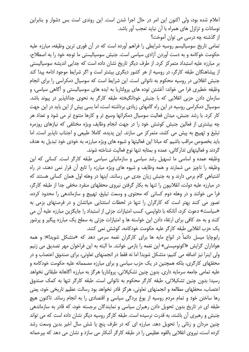اعلام شده بود، ولی اکنون این امر در حال اجرا شدن است. این روندی است بس دشوار و بنابراین نوسانات و تزلزل های همراه با آن نباید تعجب آور باشد. از گذشته چه درسی می توان آموخت؟

تمامی تاریخ سوسیالیسم روسیه شرایطی را فراهم آورده است که در آن فوری ترین وظیفه، مبارزه علیه حکومت خوکامه و به دست آوردن آزادی سیاسی است. جنبش سوسیالیستی ما توجه خود را به اصطلاح، بر مبارزه علیه استبداد متمرکز کرد. از طرف دیگر تاریخ نشان داده است که جدایی اندیشه سوسیالیستی از پیشاهنگان طبقه کارگر، در روسیه از هر کشور دیگری بیشتر است و اگر شرایط موجود ادامه پیدا کند جنبش انقلابی در روسیه محکوم به ناتوانی است. این شرایط است که سوسیال دمکراسی را برای انجام وظیفه خطیری فرا می خواند: آغشتن توده های پرولتاریا به ایده های سوسیالیستی و آگاهی سیاسی، و سازمان دادن حزبی انقلابی که با جنبش خودانگیخته طبقه کارگر به نحوی جدانایذیر در پیوند باشد. سوسیال دمکراسی روسیه در این راه گامهای زیادی برداشته است، اما بسی بیش از این باید در این جهت کار کرد. با رشد جنبش، میدان فعالیت سوسیال دمکراتها وسیع تر و کارها متنوع تر می شود و تعداد هر چه بیشتری از فعالین جنبش کوشش خود را در جهت انجام وظایف ویژه مختلفی که نیازهای روزمره تبلیغ و تهییج به پیش می کشد، متمرکز می سازند. این پدیده، کاملا طبیعی و اجتناب ناپذیر است. اما باید بخصوص مراقب باشیم که مبادا این فعالیتها و شیوه های ویژه مبارزه، به خودی خود تبدیل به هدف گردند و فعالیتهای تدارکاتی، عمده و بمثابه تنها نوع فعالیت شناخته شوند.

وظیفه عمده و اساسی ما تسهیل رشد سیاسی و سازمانیابی سیاسی طبقه کارگر است. کسانی که این وظیفه را ناچیز می شمارند و همه وظایف و شیوه های ویژه مبارزه را تابع آن قرار نمی دهند، در راه اشتباهی گام برمی دارند و به جنبش زیان جدی می رسانند. اینها در وهله اول همان کسانی هستند که در مبارزه علیه دولت، انقلابیون را تنها به بکار گرفتن نیروی محفلهای منفرد مخفی جدا از طبقه کارگر، فرا می خوانند و در وهله دوم کسانی که محتوی و وسعت تبلیغ، تهییج و سازماندهی را محدود کرده، تصور می کنند بهتر است که کارگران را تنها در لحظات استثنایی حیاتشان و در فرصتهای بزمی به «سیاست» دعوت کرد، آنانکه با دلواپسی، کسب امتیازات جزئی از استبداد را جایگزین مبارزه علیه آن می کنند و به حد کافی برای ارتقاء دادن این خواسته ها و امتیازات جزئی به سطح یک مبارزه پیگیر و پرشور یک حزب انقلابی طبقه کارگر علیه حکومت خودکامه، کوشش نمی کنند.

رابوچایا میسل دائماً در انواع مایه ها برای کارگران نغمه سرمی دهد که «متشکل شوید!»؛ و همه هواداران گرایش «اکونومیستی» این نغمه را بازمی خوانند. ما البته به این فراخوان مهر تصدیق می زنیم ولی اینرا نیز اضافه می کنیم: متشکل شوید! اما نه فقط در انجمنهای تعاونی، برای صندوق اعتصاب و در محفلهای کارگری، بلکه همچنین در یک حزب سیاسی و برای مبارزه مصممانه علیه حکومت خودکامه و علیه تمامی جامعه سرمایه داری. بدون چنین تشکیلاتی، پرولتاریا هرگز به مبارزه آگاهانه طبقاتی نخواهد رسید؛ بدون چنین تشکیلاتی، طبقه کارگر محکوم به ناتوانی است. طبقه کارگر تنها به کمک صندوق اعتصاب، محفلهای مطالعه و انجمنهای تعاونی، هرگز قادر نخواهد بود رسالت عظیم تاریخی خود، یعنی رها ساختن خود و تمام مردم روسیه از یوغ بردگی سیاسی و اقتصادی را به انجام رساند. تاکنون هیچ طبقه ای در تاریخ بدون تحویل دادن رهبران سیاسی و نمایندگان برجسته خود، که قادر به سازماندهی جنبش و رهبری آن باشند، به قدرت نرسیده است. طبقه کارگر روسیه دیگر نشان داده است که می تواند چنین مردان و زنانی را تحویل دهد. مبارزه ای که در ظرف پنج یا شش سال اخیر بدین وسعت رشد کرده است، نیروی انقلابی بالقوه عظیمی را در طبقه کارگر آشکار می سازد و نشان می دهد که بیرحمانه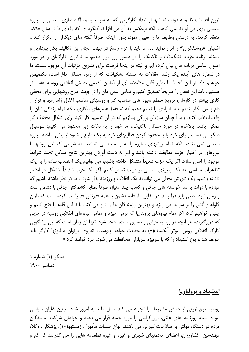ترین اقدامات ظالمانه دولت نه تنها از تعداد کارگرانی که به سوسیالیسم، آگاه سازی سیاسی و مبارزه سیاسی روی می آورند نمی کاهد، بلکه برعکس به آن می افزاید. کنگره ای که رفقای ما در سال ۱۸۹۸ منعقد کردند، به درستی وظایف ما را تعیین نمود، بدون اینکه صرفاً گفته های دیگران را تکرار کند و اشتیاق «روشنفکران» را ابراز نماید ... ما باید با عزم راسخ در جهت انجام این تکالیف بکار بپردازیم و مسئله برنامه حزب، تشکیلات و تاکتیک را در دستور روز قرار دهیم. ما تاکنون نظراتمان را در مورد اصول اساسی برنامه مان بیان کرده ایم و البته در اینجا فرصت برای تشریح جزئیات آن موجود نیست. ما در شماره های آینده یک رشته مقالات به مسئله تشکیلات که از زمره مسائل داغ است، تخصیص خواهیم داد. از این لحاظ ما بطور قابل ملاحظه ای از فعالین قدیمی جنبش انقلابی روسیه عقب تر هستیم. باید این نقص را صریحاً تصدیق کنیم و تمامی سعی مان را در جهت طرح روشهایی برای مخفی کاری بیشتر در کارمان، ترویج منظم شیوه های مناسب کار و روشهای مناسب اغفال ژاندارمها و فرار از دام پلیس بکار بندیم. باید افرادی را تعلیم دهیم که نه فقط عصرهای بیکاری بلکه تمام زندگی شان را وقف انقلاب کنند، باید آنچنان سازمان بزرگی بسازیم که در آن تقسیم کار اکید برای اشکال مختلف کار ممکن باشد. بالاخره در مورد مسائل تاکتیکی، ما خود را به نکات زیر محدود می کنیم: سوسیال دمکراسی دست و پای خود را با محدود کردن فعالیتهای خود به یک طرح و شیوه از پیش ساخته مبارزه سیاسی نمی بندد، بلکه تمام روشهای مبارزه را به رسمیت می شناسد، به شرطی که این روشها با نیروهای در اختیار حزب مطابقت داشته باشد و امر به دست آوردن بهترین نتایج ممکن تحت شرایط موجود را آسان سازد. اگر یک حزب شدیداً متشکل داشته باشیم، می توانیم یک اعتصاب ساده را به یک تظاهرات سیاسی، به یک پیروزی سیاسی بر دولت تبدیل کنیم. اگر یک حزب شدیداً متشکل در اختیار داشته باشیم، یک شورش محلی می تواند به یک انقلاب پیروزمند بدل شود. باید در نظر داشته باشیم که مبارزه با دولت بر سر خواسته های جزئی و کسب چند امتیاز، صرفاً بمثابه کشمکش جزئی با دشمن است و زمان نبرد قطعی باید فرا رسد. در مقابل ما، قلعه دشمن با همه قدرتش قد راست کرده است که باران گلوله و آتش را بر سر ما می ریزد و بهترین رزمندگان ما را درو می کند. باید این قلعه را فتح کنیم و چنین خواهیم کرد، اگر تمام نیروهای پرولتاریا که برمی خیزد و تمامی نیروهای انقلابی روسیه در حزبی که دربرگیرنده هر آنچه در روسیه حیاتی و صدیق است، متحد شود. تنها آن زمان است که این پیشگویی کارگر انقلابی روس پیوتر آلکسیف(۸) به حقیقت خواهد پیوست: «بازوی پرتوان میلیونها کارگر بلند خواهد شد و یوغ استبداد را که با سرنیزه سربازان محافظت می شود، خرد خواهد کرد!»

ایسکرا (۹) شماره ۱ دسامبر ١٩٠٠

<u>استبداد و پرولتاریا</u>

روسیه موج نوینی از جنبش مشروطه را تجربه می کند. نسل ما تا به امروز شاهد چنین غلیان سیاسی نبوده است. روزنامه های علنی، بوروکراسی را مورد حمله قرار می دهند و خواهان شرکت نمایندگان مردم در دستگاه دولتی و اصلاحات لیبرالی می باشند. انواع جلسات مأموران زمستوو(١٠)، پزشکان، وکلا، مهندسین، کشاورزان، اعضای انجمنهای شهری و غیره و غیره قطعنامه هایی را می گذرانند که کم و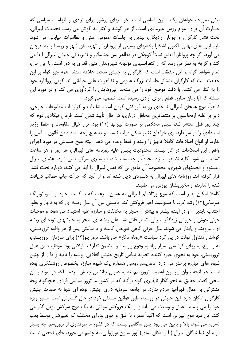بیش صریحاً، خواهان یک قانون اساسی است. خواستهای پرشور برای آزادی و اتهامات سیاسی که جسارت آن برای عوام روس غیرعادی است، از هر گوشه و کنار به گوش می رسد. تجمعات لیبرالی، تحت فشار كارگران و جوانان راديكال، تبديل به جلسات عمومي علني و تظاهرات خياباني مي شود. نارضایتی های نهانی، اکنون آشکارا بخشهای وسیعی از پرولتاریا و تهیدستان شهر و روستا را به هیجان می آورد. اگر چه پرولتاریا نقش نسبتاً کوچکی در مظاهر بس چشمگیر و تشریفاتی جنبش لیبرالی ایفا می کند و گرچه به نظر می رسد که از کنفرانسهای مؤدبانه شهروندان متین قدری به دور است، با این حال، تمام شواهد گواه بر این حقیقت است که کارگران به جنبش سخت علاقه مندند. همه چیز گواه بر این حقیقت است که کارگران مشتاق جلسات بزرگ عمومی و تظاهرات علنی خیابانی اند. گویی پرولتاریا خود را به کنار می کشد، با دقت موضع خود را می سنجد، نیروهایش را گردآوری می کند و در مورد این مسئله که آیا زمان مبارزه قطعی برای آزادی رسیده است، تصمیم می گیرد.

ظاهراً، موج هیجان لیبرالی تا حدی رو به فروکش کردن است. شایعات و گزارشات مطبوعات خارجی، دایر بر غلبه ارتجاعیون بر متنفذترین محافل درباری، در حال تأیید شدن است. فرمان نیکلای دوم که چند روز قبل منتشر شد، سیلی محکمی بر صورت لیبرالها (١١) بود. تزار خیال مقاومت و حفظ رژیم استبدادی را در سر دارد. وی خواهان تغییر شکل دولت نیست و به هیچ وجه قصد دادن قانون اساسی را ندارد. او انواع اصلاحات كاملا ناچيز را وعده و فقط وعده مي دهد. البته هيچ ضمانتي در مورد اجراي واقعی این اصلاحات در کار نیست. محدودیت پلیس علیه روزنامه های لیبرالی، هر روز و هر ساعت تشدید می شود. کلیه تظاهرات آزاد مجدداً، و چه بسا با شدت بیشتری سرکوب می شود. اعضای لیبرال زمستوو و انجمنهای شهری، مخصوصاً آن مأمورانی که نقش لیبرال را ایفا می کنند، دوباره تحت فشار قرار گرفته اند. روزنامه های لیبرال به دلسردی دچار شده اند و از آنجا که جرأت چاپ مطالب دریافت شده را ندارند، از مخبرینشان پوزش می طلبند.

کاملا امکان پذیر است که موج پرتلاطم لیبرالی به همان سرعت که با کسب اجازه از اسویانوپولک میرسکی(۱۲) رشد کرد، با ممنوعیت اخیر فروکش کند. بایستی بین آن علل ریشه ای که به ناچار و بطور اجتناب نايذير – و در آينده بيشتر و بيشتر – منجر به مخالفت و مبارزه عليه استبداد مي شود، و موجبات جزئی جوش و خروش زودگذر لیبرالی، تمایز قائل شد. علل ریشه ای منجر به جنبشهای توده ای ریشه ای، نیرومند و پایدار می شوند. علل جزئی گاهی تعویض کابینه و یا ساعتی پس از هر واقعه تروریستی، کوشش متداول دولت در پی گرد سیاست «روباه مکار» می باشد. ترور پلو(۱۳) برای سازمان تروریستی، به وضوح، به بهای کوششی بسیار زیاد به وقوع پیوست و متضمن تدارک طولانی بود. موفقیت این عمل تروریستی، خود به نحوی خیره کننده، تجربه تمامی تاریخ جنبش انقلابی روسیه را تأیید و ما را از چنین شیوه های مبارزه برحذر می دارد. تروریسم روسی همواره یک شیوه مبارزه بخصوص روشنفکری بوده است. هر آنچه بتوان پیرامون اهمیت تروریسم، نه به عنوان جانشین جنبش مردم، بلکه در پیوند با آن سخن گفت، حقایق به نحو انکار ناپذیری گواه برآنند که در کشور ما ترور سیاسی فردی هیچگونه وجه مشترکی با اعمال قهرآمیز مردم ندارد. در جامعه سرمایه داری جنبش توده ای تنها به صورت جنبش کارگران امکان دارد. این جنبش در روسیه، طبق قوانین مستقل خود در حال گسترش است. مسیر ویژه خود را می پیماید. عمق و وسعت می یابد و از یک فروکش موقتی به یک موج سرکش نوین گذر می کند. این تنها موج لیبرالی است که اکیداً همراه با خلق و خوی وزرای مختلف که تغییرشان توسط بمب تسریع می شود، بالا و پایین می رود. پس شگفتی نیست که در کشور ما طرفداری از تروریسم، چه بسیار در میان نمایندگان لیبرال (یا رادیکال نمای) ایوزیسیون بورژوایی، به چشم می خورد. جای تعجبی نیست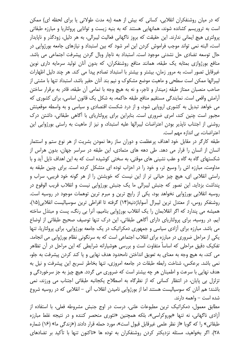که در میان روشنفکران انقلابی، کسانی که بیش از همه (به مدت طولانی یا برای لحظه ای) ممکن است به تروریسم کشانده شوند، همانهایی هستند که به بنیه زیست و توانایی پرولتاریا و مبارزه طبقاتی پرولتری هیچ ایمانی ندارند. این حقیقت که بروز ناگهانی فعالیت لیبرالی، به هر دلیل، زودگذر و ناپایدار است، البته نمی تواند موجب فراموش کردن این امر شود که بین استبداد و نیازهای جامعه بورژوایی در حال توسعه تضادی حل نشدنی موجود است. استبداد به ناچار وبال گردن پیشرفت اجتماعی می باشد. منافع بورژوازی بمثابه یک طبقه، همانند منافع روشنفکران، که بدون آنان تولید سرمایه داری نوین غیرقابل تصور است، به مرور زمان، بیشتر و بیشتر با استبداد تصادم پیدا می کند. هر چند دلیل اظهارات لیبرالها ممکن است سطحی و ماهیت موضع مشکوک و نیم بند آنان حقیر باشد، استبداد تنها با مشتی از صاحب منصبان ممتاز طبقه زمیندار و تاجر، و نه به هیچ وجه با تمامی آن طبقه، قادر به برقرار ساختن آرامش واقعی است. نمایندگی مستقیم منافع طبقه حاکمه، به شکل یک قانون اساسی، برای کشوری که می خواهد تبدیل به کشوری اروپایی شود، و از درد شکست اقتصادی و سیاسی و به واسطه موقعیتش مجبور است چنین کند، امری ضروری است. بنابراین برای پرولتاریای با آگاهی طبقاتی، داشتن درک روشنی از اجتناب ناپذیر بودن اعتراضات لیبرالها علیه استبداد، و نیز از ماهیت به راستی بورژوایی این اعتراضات، بي اندازه مهم است.

طبقه کارگر در مقابل خود اهداف پرعظمت و دوران ساز رها نمودن بشریت از هر نوع ستم و استثمار انسان از انسان را قرار می دهد. طی دهه های متمادی، این طبقه در سراسر جهان، بدون هراس از شکستهای گاه به گاه و عقب نشینی های موقتی، به سختی کوشیده است که به این اهداف نایل آید و با مداومت، مبارزه اش را وسیع تر، و خود را در احزاب توده ای متشکل کرده است. برای چنین طبقه به راستی انقلابی ای، هیچ چیز حیاتی تر از این نیست که خویشتن را از هر گونه خود فریبی، سراب و پنداشت بزداید. این تصور که جنبش لیبرالی ما یک جنبش بورژوایی نیست و انقلاب قریب الوقوع در روسیه انقلابی بورژوایی نخواهد بود، یکی از رایج ترین و مبرم ترین توهمات موجود در روسیه است. روشنفكر روس، از معتدل ترين ليبرال آسواباژدنيه(١۴) گرفته تا افراطي ترين سوسياليست انقلابي(١۵)، همیشه می پندارد که اگر انقلابمان را یک انقلاب بورژوایی بنامیم، آنرا بی رنگ، پست و مبتذل ساخته ايم. در روسيه، براي پرولتارياي داراي آگاهي طبقاتي، اين درک تنها توصيف صحيح طبقاتي از اوضاع می باشد. مبارزه برای آزادی سیاسی و جمهوری دمکراتیک در یک جامعه بورژوایی، برای پرولتاریا، تنها یکی از مراحل ضروری در مبارزه برای انقلاب اجتماعی است که به سرنگونی نظام بورژوایی می انجامد. تفکیک دقیق مراحلی که اساساً متفاوت است و بررسی هوشیارانه شرایطی که این مراحل در آن تظاهر می کند، به هیچ وجه به معنای به تعویق انداختن نامحدود هدف نهایی و یا کند کردن پیشرفت به جلو، نمی باشد. برعکس، شناخت رابطه طبقات در جامعه امروزی، تنها بخاطر تسریع این پیشرفت و نیل به هدف نهایی با سرعت و اطمینان هر چه بیشتر است که ضروری می گردد. هیچ چیز به جز سرخوردگی و تزلزل بی پایان، در انتظار کسانی که از نظرگاه به اصطلاح یکجانبه طبقاتی اجتناب می ورزند، نمی باشند؛ هم آنان که سوسیالیست هستند اما از بورژوایی نامیدن انقلاب آتی – انقلابی که در روسیه شروع شده است – واهمه دارند.

مطابق معمول، دمکراتیک ترین مطبوعات علنی، درست در اوج جنبش مشروطه فعلی، با استفاده از آزادی ناگهانی، نه تنها «بوروکراسی»، بلکه همچنین «تئوری منحصر کننده و در نتیجه غلط مبارزه طبقاتی» را که گویا «از نظر علمی غیرقابل قبول است»، مورد حمله قرار دادند («زندگی ما» (۱۶) شماره ۲۸). اگر بخواهید، مسئله نزدیکتر کردن روشنفکران به توده ها «تاکنون تنها با تأکید بر تضادهای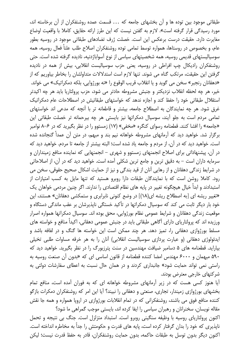طبقاتی موجود بین توده ها و آن بخشهای جامعه که ... قسمت عمده روشنفکران از آن برخاسته اند، مورد رسیدگی قرار گرفته است». لازم به گفتن نیست که این طرز ارائه حقایق، کاملا با واقعیت اوضاع مغایرت دارد. حقیقت درست برعکس این است. خصلت ژرف تضادهای طبقاتی موجود در روسیه بطور عام، و بخصوص در روستاها، همواره توسط تمامی توده روشنفکران اصلاح طلب علناً فعال روسیه، همه سوسیالیستهای قدیمی روسیه، همه شخصیتهای سیاسی از نوع آسواباژدنیه، نادیده گرفته شده است. حتی روشنفکران رادیکال چپ افراطی در روسیه، یعنی حزب سوسیالیست انقلابی، بیش از همه در نادیده گرفتن این حقیقت، مرتکب گناه می شوند. تنها لازم است استدلالات متداولشان را بخاطر بیاوریم که از «دهقانان رنجبر» سخن مي گويد و يا انقلاب قريب الوقوع را «نه بورژوايي، بلكه دمكراتيك» مي خواند. خير، هر چه لحظه انقلاب نزديكتر و جنبش مشروطه حادتر مي شود، حزب پرولتاريا بايد هر چه اكيدتر استقلال طبقاتی خود را حفظ کند و اجازه ندهد که خواستهای طبقاتیش در اصطلاحات عام دمکراتیک غرق شود. هر چه نمایندگان به اصطلاح جامعه، بیشتر و قاطعانه تر با آنچه که مدعی اند خواستهای تمامی مردم است به جلو آیند، سوسیال دمکراتها نیز بایستی هر چه بیرحمانه تر خصلت طبقاتی این «جامعه» را افشا کنند. قطعنامه رسوای کنگره «مخفی» (۱۷) زمستوو را در نظر بگیرید که در ۶–۸ نوامبر برگزار شد. خواهید دید که آرمانهای مشروطه خواهانه نیم بند و مبهم، در متن آن عمداً گنجانده شده است. خواهید دید که در آن، از مردم و جامعه یاد شده است؛ البته بیشتر از جامعه تا مردم. خواهید دید که در آن، پیشنهاداتی برای اصلاح انجمنهای زمستوو و شهری – انجمنهایی که نماینده منافع زمینداران و سرمایه داران است – به دقیق ترین و جامع ترین شکلی آمده است. خواهید دید که در آن، از اصلاحاتی در شرایط زندگی دهقانان و از رهایی آنان از قید بندگی و نیز از حمایت اشکال صحیح حقوقی، سخن می رود. کاملا روشن است که با نمایندگان طبقات دارا روبرو هستید که تنها مایل به کسب امتیازات از استبدادند و ابداً خیال هیچگونه تغییر در پایه های نظام اقتصادی را ندارند. اگر چنین مردمی خواهان یک «تغییر ریشه ای [به اصطلاح ریشه ای(۱۸)] در وضع کنونی نابرابری و ستمکشی دهقانان» هستند، این خود بار دیگر ثابت می کند که سوسیال دمکراتها در تأکید خستگی ناپذیرشان بر عقب ماندگی دستگاه و موقعیت زندگی دهقانان و شرایط عمومی نظام بورژوایی، محق بوده اند. سوسیال دمکراتها همواره اصرار ورزیده اند که پرولتاریای دارای آگاهی طبقاتی باید در جنبش عمومی دهقانی، اکیداً منافع و خواسته های مسلط بورژوازی دهقانی را، تمیز دهد. هر چند ممکن است این خواسته ها گنگ و در لفافه باشد و ایدئولوژی دهقانی (و عبارت پردازی سوسیالیست انقلابی) آنان را به هر خرقه مساوات طلبی تخیلی بیاراید. قطعنامه های ۵ دسامبر ضیافت مهندسین در سنت پترزبورگ را در نظر بگیرید. خواهید دید که ۵۹۰ میهمان و ۶۰۰۰ مهندس امضا کننده قطعنامه از قانون اساسی ای که «بدون آن صنعت روسیه به راستی نمی تواند حمایت شود» جانبداری کردند و در همان حال نسبت به اعطای سفارشات دولتی به شرکتهای خارجی معترض بودند.

آیا هنوز کسی هست که در زیر آرمانهای مشروطه خواهانه ای که به فوران آمده است، منافع تمام بخشهای بورژوازی زمیندار، تجاری، صنعتی و دهقانی را نبیند؟ آیا این امر که روشنفکران دمکرات بازگو کننده منافع فوق می باشند، روشنفکرانی که در تمام انقلابات بورژوازی در اروپا همواره و همه جا نقش مقاله نویسان، سخنرانان و رهبران سیاسی را ایفا کرده اند، بایستی موجب گمراهی ما شود؟

اکنون پرولتاریای روسیه با وظیفه سنگینی روبرو است. استبداد متزلزل است. جنگ بی نتیجه و تحمل ناپذیری که خود را بدان گرفتار کرده است، پایه های قدرت و حکومتش را جداً به مخاطره انداخته است. اکنون دیگر بدون توسل به طبقات حاکمه، بدون حمایت روشنفکران، قادر به حفظ قدرت نیست؛ لیکن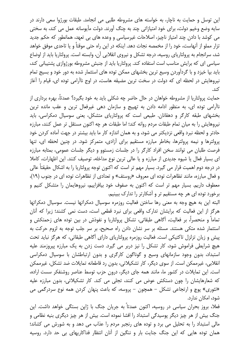این توسل و حمایت به ناچار، به خواسته های مشروطه طلبی می انجامد. طبقات بورژوا سعی دارند در سايه وضع وخيم دولت، براي خود امتيازاتي چند به چنگ آورند. دولت مأيوسانه عمل مي كند، به سختي می کوشد با دادن چند امتیاز ناچیز، اصلاحات غیرسیاسی و وعده های بی تعهد، همانطور که حکم جدید تزار مملو از آنهاست، خود را از مخمصه نجات دهد. اینکه در این راه حتی موقتاً و یا تاحدی موفق خواهد شد، سرانجام به پرولتاریای روسیه، درجه تشکل و نیروی انقلابی آن، وابسته است. پرولتاریا باید از اوضاع سیاسی ای که برایش مناسب است استفاده کند. پرولتاریا باید از جنبش مشروطه بورژوازی پشتیبانی کند، باید بپا خیزد و با گردآوردن وسیع ترین بخشهای ممکن توده های استثمار شده به دور خود و بسیج تمام نیروهایش در لحظه ای که دولت در سخت ترین مضیقه هاست، در اوج ناآرامی توده ای، قیام را آغاز كند.

حمایت پرولتاریا از مشروطه خواهان در حال حاضر چه شکلی باید به خود بگیرد؟ عمدتاً، بهره برداری از ناآرامی توده ای، به منظور ادامه دادن به تهییج و سازمان دهی غیرفعال ترین و عقب مانده ترین بخشهای طبقه کارگر و دهقانان. طبیعی است که پرولتاریای متشکل، یعنی سوسیال دمکراسی، باید نیروهایش را به میان تمام طبقات مردم روانه کند؛ اما طبقات هر چه اکنون مستقل تر عمل کنند، مبارزه حادتر و لحظه نبرد واقعی نزدیکتر می شود، و به همان اندازه کار ما باید بیشتر در جهت آماده کردن خود پرولترها و نیمه پرولترها، بخاطر مبارزه مستقیم برای آزادی، متمرکز شود. در چنین لحظه ای، تنها فرصت طلبان می توانند سخن افراد کارگر را در جلسات زمستوو و دیگر جلسات عمومی، بمثابه مبارزه ای بسیار فعال یا شیوه جدیدی از مبارزه و یا عالی ترین نوع مداخله، توصیف کنند. این اظهارات، کاملا در درجه دوم اهمیت قرار می گیرد. بسیار مهم تر است که اکنون توجه پرولتاریا را به اشکال حقیقتاً عالی و فعال مبارزه، مانند تظاهرات توده ای معروف «روستف» و تعدادی از تظاهرات توده ای در جنوب (١٩)، معطوف داریم. بسیار مهم تر است که اکنون به صفوف خود بیافزاییم، نیروهایمان را متشکل کنیم و برخورد توده ای هر چه مستقیم تر و آشکارتر را تدارک ببینیم.

البته این به هیچ وجه به معنی رها ساختن فعالیت روزمره سوسیال دمکراتها نیست. سوسیال دمکراتها هرگز از این فعالیت که برایشان تدارک واقعی برای نبرد قطعی است، دست نمی کشند؛ زیرا که آنان تماماً و منحصراً، بر فعالیت، أگاهی طبقاتی، تشکل پرولتاریا و نفوذش در بین توده های زحمتکش و استثمار شده متکی هستند. مسئله بر سر نشان دادن راه صحیح، بر سر جلب توجه به لزوم حرکت به پیش و زیان تزلزل تاکتیکی است. فعالیت روزمره پرولتاریای دارای آگاهی طبقاتی، که هرگز نباید تحت هیچ شرایطی فراموش شود، کار تشکل را نیز دربر می گیرد. دست زدن به یک مبارزه پیروزمند علیه استبداد، بدون وجود سازمانهای وسیع و گوناگون کارگری و بدون ارتباطشان با سوسیال دمکراسی انقلابی، غیرممکن است. از سوی دیگر، کار تشکیلاتی، بدون رد قاطعانه تمایلات ضد تشکل، غیرممکن است. این تمایلات در کشور ما، مانند همه جای دیگر، درون حزب توسط عناصر روشنفکر سست اراده، که شعارهایشان را چون دستکش عوض می کنند، تجلی می کند. کار تشکیلاتی، بدون مبارزه علیه «تئوری» یوچ و ارتجاعی تشکل – همچون – پروسه، که باعث پنهان کردن همه نوع سردرگمی می شود، امکان ندارد.

فعلا، بروز بحران سیاسی در روسیه، اکنون عمدتاً به جریان جنگ با ژاپن بستگی خواهد داشت. این جنگ بیش از هر چیز دیگر پوسیدگی استبداد را افشا نموده است. بیش از هر چیز دیگری بنیه نظامی و مالی استبداد را به تحلیل می برد و توده های رنجبر مردم را عذاب می دهد و به شورش می کشاند؛ همان توده هایی که این جنگ جنایت بار و ننگین از آنان انتظار فداکاریهای بی حد دارد. روسیه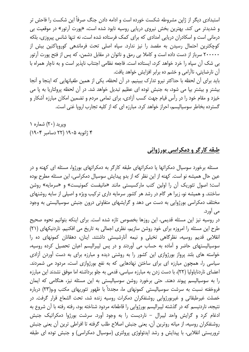استبدادی دیگر از ژاپن مشروطه شکست خورده است و ادامه دادن جنگ صرفاً این شکست را فاحش تر و شدیدتر می کند. بهترین بخش نیروی دریایی روسیه نابود شده است، «پورت آرتور» در موقعیت بی درمانی است و اسکادران دریایی امدادی که برای کمک فرستاده شده است، نه تنها شانس پیروزی، بلکه کوچکترین احتمال رسیدن به مقصد را نیز ندارد. سپاه اصلی تحت فرماندهی کوروپاکتین بیش از ۲۰۰۰۰۰ سرباز از دست داده است و کاملا بی رمق و ناتوان در مقابل دشمن، که پس از فتح پورت آرتور بي شک آن سياه را خرد خواهد کرد، ايستاده است. فاجعه نظامي اجتناب نايذير است و به ناچار همراه با آن نارضایتی، ناآرامی و خشم ده برابر افزایش خواهد یافت.

باید برای آن لحظه با حداکثر نیرو تدارک ببینیم. در آن لحظه، یکی از همین طغیانهایی که اینجا و آنجا بیشتر و بیشتر بیا می شود، به جنبش توده ای عظیم تبدیل خواهد شد. در آن لحظه پرولتاریا به یا می خیزد و مقام خود را در رأس قیام جهت کسب آزادی، برای تمامی مردم و تضمین امکان مبارزه آشکار و گسترده بخاطر سوسیالیسم، احراز خواهد کرد. مبارزه ای که از کلیه تجارب اروپا غنی است.

ویرید (۲۰) شماره ۱ ۴ ژانویه ۱۹۰۵ (۲۲ دسامبر ۱۹۰۴)

## <u>طبقه کارگر و دمکراسی بورژوائی</u>

مسئله برخورد سوسیال دمکراتها یا دمکراتهای طبقه کارگر به دمکراتهای بورژوا، مسئله ای کهنه و در عین حال همیشه نو است. کهنه از این نظر که از بدو پیدایش سوسیال دمکراسی، این مسئله مطرح بوده است؛ اصول تئوریک آن را اولین کتب مارکسیستی مانند «مانیفست کمونیست» و «سرمایه» روشن ساختند. و همیشه نو، زیرا هر گام در رشد هر کشور سرمایه داری ترکیب ویژه و اصیلی از سایه روشنهای مختلف دمکراسی بورژوایی به دست می دهد و گرایشهای متفاوتی درون جنبش سوسیالیستی به وجود مے , آورد.

در روسیه نیز این مسئله قدیمی، این روزها بخصوص تازه شده است. برای اینکه بتوانیم نحوه صحیح طرح این مسئله را امروزه برای خود روشن سازیم، نظری اجمالی به تاریخ می افکنیم. ناردنیکهای (۲۱) انقلابی قدیم روسیه، نظرگاهی تخیلی و نیمه آنارشیستی داشتند. اینان، دهقانان کمونهای ده را سوسیالیستهای حاضر و آماده به حساب می آوردند و در پس لیبرالیسم اعیان تحصیل کرده روسیه، خواسته های بلند پرواز بورژوازی این کشور را به روشنی دیده و مبارزه برای به دست آوردن آزادی سیاسی را، همچون مبارزه ای برای ساختن نهادهایی که به نفع بورژوازی است، مردود می شمردند. اعضای ناردنایاولیا (۲۲)، با دست زدن به مبارزه سیاسی، قدمی به جلو برداشته اما موفق نشدند این مبارزه را به سوسیالیسم پیوند دهند. حتی برخورد روشن سوسیالیستی به این مسئله نیز، هنگامی که ایمان فروخفته نسبت به سرشت سوسیالیستی کمونهای ما، مجدداً با ظهور تئوریهای مکتب و.و(۲۳) درباره خصلت غیرطبقاتی و غیربورژوایی روشنفکران دمکرات روسیه زنده شد، تحت الشعاع قرار گرفت. در نتیجه، ناردنیسم که در گذشته لیبرالیسم بورژوایی را قاطعانه مردود شناخته بود، رفته رفته با آن شروع به ادغام کرد و گرایش واحد لیبرال - ناردیست را به وجود آورد. سرشت بورژوا دمکراتیک جنبش روشنفكران روسيه، از ميانه روترين آن، يعني جنبش اصلاح طلب گرفته تا افراطي ترين آن يعني جنبش تروریستی انقلابی، با پیدایش و رشد ایدئولوژی پرولتری (سوسیال دمکراسی) و جنبش توده ای طبقه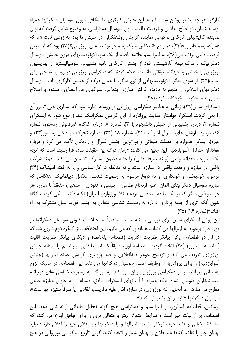کارگر، هر چه بیشتر روشن شد. اما رشد این جنبش کارگری، با شکافی درون سوسیال دمکراتها همراه بود. بدینسان، دو جناح انقلابی و فرصت طلب، درون سوسیال دمکراسی، به وضوح شکل گرفت که اولی نماینده گرایشهای کارگری و دومی نماینده گرایش روشنفکران در جنبش ما بود. به زودی ثابت شد که «مارکسیسم قانونی»(۲۴)، در واقع «انعکاس مارکسیسم در نوشته های بورژوایی»(۲۵) بود که از طریق فرصت طلبی برنشتاینی(۲۶)، به لیبرالیسم خاتمه یافت. از یک سو، اکونومیستهای درون جنبش سوسیال دمکراتیک با درک نیمه آنارشیستی خود از جنبش کارگری ناب، پشتیبانی سوسیالیستها از ایوزیسیون بورژوایی را خیانتی به دیدگاه طبقاتی دانسته، اعلام کردند که دمکراسی بورژوایی در روسیه شبحی بیش نیست(۲۷). از سوی دیگر، اکونومیستهایی از نوع دیگر، با همان درک از جنبش کارگری ناب، سوسیال دمکراتهای انقلابی را متهم به نادیده گرفتن مبارزه اجتماعی لیبرالهای ما، اعضای زمستوو و اصلاح طلبان عليه حكومت خودكامه كردند(٢٨).

ایسکرای سابق(۲۹)، زمانی به عناصر دمکراسی بورژوایی در روسیه اشاره نمود که بسیاری حتی تصور آن را نمی کردند. ایسکرا، خواستار حمایت پرولتاریا از این گرایش دمکراتیک شد. (رجوع شود به ایسکرای شماره ٢، درباره پشتیبانی از جنبش دانشجویی (٣٠)، شماره ٨، درباره کنگره غیرقانونی زمستوو، شماره ۱۶، درباره مارشال های لیبرال اشرافیت(۳۱)، شماره ۱۸ (۳۲)، درباره تحرک در داخل زمستوو(۳۳) و غیره). ایسکرا همواره بر خصلت طبقاتی و بورژوایی جنبش لیبرال و رادیکال تأکید می کرد و درباره هواداران متزلزل آسواباژدنیه، این چنین می گفت: «زمان درک این حقیقت ساده فرا رسیده است که آنچه یک مبارزه متحدانه واقعی (و نه صرفاً لفظی) را علیه دشمن مشترک تضمین می کند، همانا شرکت واقعی در مبارزه و وحدت واقعی در مبارزه است، و نه مغالطه در کار سیاسی و یا به گفته اسپنیاک (۳۴) مرحوم، خودیوشی و خودداری، و نه دروغ مرسوم به رسمیت شناسی متقابل دیپلماتیک. هنگامی که مبارزه سوسیال دمکراتهای آلمان، علیه ارتجاع نظامی – پلیسی و فئودال – مذهبی، حقیقتاً با مبارزه هر حزب واقعی دیگر که بر یک طبقه مشخص مردم (مثلا بورژوازی لیبرال) تکیه داشت، یکی گردید، آنگاه بدون آنکه اثری از جمله پردازی درباره به رسمیت شناسی متقابل به چشم خورد، عمل مشترک به راه افتاد.»(شماره ۲۶) (۳۵).

این روش ایسکرای سابق برای بررسی مسئله، ما را مستقیماً به اختلافات کنونی سوسیال دمکراتها در مورد طرز برخورد به لیبرالها می کشاند. همانطور که می دانیم، این اختلافات، از کنگره دوم شروع شد که در آن دو قطعنامه، یکی بیانگر نظریات اکثریت (قطعنامه پلخانف) و دیگری بیانگر نظریات اقلیت (قطعنامه استارور) (۳۶) اتخاذ گردید. قطعنامه اول، دقیقاً خصلت طبقاتی لیبرالیسم را بمثابه جنبش بورژوازی تعریف می کند و توضیح جوهر ضدانقلابی و ضد پرولتری گرایش عمده لیبرالها (جنبش آسواباژدنیه) را برای پرولتاریا، از وظایف اصلی سوسیال دمکراتها می داند. این قطعنامه، در حالیکه لزوم پشتیبانی پرولتاریا را از دمکراسی بورژوایی بیان می کند، به نیرنگ به رسمیت شناسی های دوجانبه سیاستمداران متوسل نشده، بلکه همراه با آرمانهای ایسکرای سابق، مسئله را به عنوان مبارزه جمعی مطرح می سازد. «تا آنجایی که بورژوازی، در مبارزه اش علیه تزاریسم، انقلابی یا صرفاً ستیزه جو است»، سوسیال دمکراتها «باید از آن پشتیبانی کنند».

برعکس، قطعنامه استارور، از لیبرالیسم و دمکراسی هیچ گونه تحلیل طبقاتی ارائه نمی دهد. این قطعنامه، پر از نیات خیر است و شرایط احتمالا بهتر و متعالی تری را برای توافق ابداع می کند، که متأسفانه خیالی و فقط حرف توخالی است: لیبرالها و یا دمکراتها باید فلان چیز را اعلام دارند؛ نباید بهمان چيز را تقاضا كنند؛ بايد فلان و بهمان شعار را اتخاذ كنند. گويي تاريخ دمكراسي بورژوايي در هيچ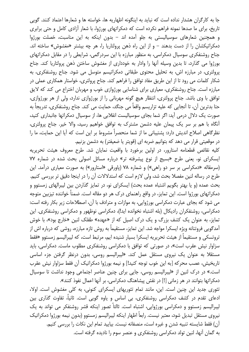جا به کارگران هشدار نداده است که نباید به اینگونه اظهاریه ها، خواسته ها و شعارها اعتماد کنند. گویی تاریخ، برای ما صدها نمونه فراهم نکرده است که دمکراتهای بورژوا، با شعار آزادی کامل و حتی برابری و همچنین شعارهای سوسیالیستی به جلو آمده اند – بدون اینکه به این مناسبت، خصلت بورژوا دمکراتیکشان را از دست بدهند – و از این راه ذهن پرولتاریا را، هر چه بیشتر «مغشوش» ساخته اند. جناح روشنفکری سوسیال دمکراسی، به منظور مبارزه با این سردرگمی، شرایطی را در مقابل دمکراتهای بورژوا می گذارد، تا بدین وسیله آنها را وادار به خودداری از مغشوش ساختن ذهن پرولتاریا کند. جناح پرولتری، در مبارزه اش، به تحلیل محتوی طبقاتی دمکراتیسم متوسل می شود. جناح روشنفکری، به شکار کلمات می رود تا از این طریق مفاد توافق را فراهم کند. جناح پرولتری، خواستار همکاری عملی در مبارزه است. جناح روشنفکری، معیاری برای شناسایی بورژوازی خوب و مهربان اختراع می کند که لایق توافق با وی باشد. جناح پرولتری، انتظار هیچ گونه مهربانی را از بورژوازی ندارد، ولی از هر بورژوازی، حتا بدترين آن، تا آنجايي كه عليه تزاريسم واقعاً مي جنگد، حمايت مي كند. جناح روشنفكري، تدريجاً به صورت یک دلال درمی آید: اگر شما بجای سوسیالیست انقلابی ها، از سوسیال دمکراتها جانبداری کنید، آنگاه با هم بر سر یک پیمان علیه دشمن مشترک به توافق خواهیم رسید، والا خیر. جناح پرولتری، نظرگاهی اصلاح اندیش دارد: پشتیبانی ما از شما منحصراً مشروط بر این است که آیا این حمایت، ما را در موقعیتی قرار می دهد که بتوانیم ضربه ای (قویتر یا ضعیفتر) به دشمن بزنیم.

كليه نقائص قطعنامه استارور، در اولين برخورد با واقعيت نمايان شد. طرح معروف هيئت تحريريه ایسکرای نو، یعنی طرح «بسیج از نوع پیشرفته تر» درباره مسائل اصولی بحث شده در شماره ۷۷ (سرمقاله «دمکراسی بر سر دو راهی») و شماره ۷۸ (یاورقی «استارور») به صورت معیاری درآمد. این طرح در رساله لنین مفصلا بحث شد، ولی لازم است که استدلالات آن را در اینجا دقیق تر بررسی کنیم. بحث عمده (و یا بهتر بگویم اشتباه عمده بحث) ایسکرای نو، در تمایز گذاردن بین لیبرالهای زمستوو و دمکراتهای بورژوا است. این تمایز، در واقع راهنمای درک هر دو مقاله است. ضمناً خواننده تیزبین متوجه می شود که بجای عبارت دمکراسی بورژوایی، به موازات و مترادف با آن، اصطلاحات زیر بکار رفته است: دمکراسی، روشنفکران رادیکال (بله اشتباه نخوانده اید!)، دمکراسی نوظهور و دمکراسی روشنفکری. این تمایز، به عنوان یک کشف بزرگ و یک درک اصیل که از «عهده» طفلک لنین «خارج بود»، با خوش آمدگویی فروتنانه ویژه ایسکرا مواجه شد. این تمایز، مستقیماً به روش تازه مبارزه، روشی که درباره اش از تروتسكي و مستقيماً از هيئت تحريريه ايسكرا بسيار شنيده ايم، مرتبط است، كه ليبراليسم زمستوو «فقط سزاوار نیش عقرب است»، در صورتی که توافق با دمکراسی روشنفکری مطلوب ماست. دمکراسی، باید مستقلا به عنوان یک نیروی مستقل عمل کند. «لیبرالیسم روسی، بدون درنظر گرفتن جزء اساسی تاریخیش، عصب محرکه [به این خوب توجه کنید!] و نیمه بورژوا دمکراتیک آن فقط سزاوار نیش عقرب است.» در درک لنین از «لیبرالیسم روسی، جایی برای چنین عناصر اجتماعی وجود نداشت تا سوسیال دمکراتها بتوانند در هر زمانی [!] در نقش پیشاهنگ دمکراسی، بر آنها اعمال نفوذ کنند».

تئوری جدید این چنین است. این، مانند تمام تئوریهای ایسکرای کنونی، به کلی مغشوش است. اولا، ادعای تقدم در کشف دمکراسی روشنفکری، بی اساس و یاوه گویی است. ثانیاً، تفاوت گذاری بین لیبرالیسم زمستوو و دمکراسی بورژوایی، اشتباه است. ثالثاً تصور اینکه قشر روشنفکر می تواند به یک نيروى مستقل تبديل شود، معتبر نيست. رابعاً اظهار اينكه ليبراليسم زمستوو (بدون نيمه بورژوا دمكراتيك آن) فقط شایسته تنبیه شدن و غیره است، منصفانه نیست. بیایید تمام این نکات را بررسی کنیم. به گمان آنها، لنین تولد دمکراسی روشنفکری و عنصر سوم را نادیده گرفته است.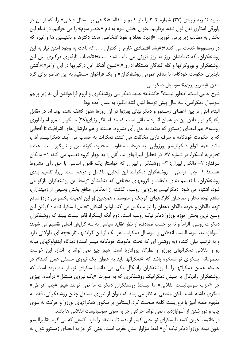بیایید نشریه زاریای (۳۷) شماره ۲–۳ را باز کنیم و مقاله «نگاهی بر مسائل داخلی» را، که از آن در پاورقی استارور نقل قول شده، برداریم. عنوان بخش سوم به نام «عنصر سوم» را می خوانیم. در تمام این بخش به مطالب زیر برمی خوریم: «ازدیاد تعداد و نفوذ اشخاصی مانند دکترها و تکنیسین ها و غیره که در زمستووها خدمت می کنند»؛«رشد اقتصادی خارج از کنترلی ... که باعث به وجود آمدن نیاز به این روشنفکران، که تعدادشان روز به روز فزونی می پابد، شده است»؛«اجتناب ناپذیری درگیری بین این روشنفکران و بوروکراتها و کله گندگان دستگاه اداری»؛«شیوع آشکار این درگیریها در این اواخر»؛«آشتی ناپذیری حکومت خودکامه با منافع عمومی روشنفکران» و یک فراخوان مستقیم به این عناصر برای گرد آمدن «به زیر پرچم» سوسیال دمکراسی ...

شرح جالبی است، اینطور نیست؟ «کشف» جدید دمکراسی روشنفکری و لزوم فراخواندن آن به زیر پرچم سوسیال دمکراسی، سه سال پیش توسط لنین فتنه انگیز، به عمل آمده بود!

البته، آنتی تز بین اعضای زمستوو و دمکراتهای بورژوا در آن روزها هنوز کشف نشده بود. اما در مقابل یکدیگر قرار دادن این دو همان اندازه منطقی است که مقابله «گوبرنیای(۳۸) مسکو و قلمرو امپراطوری روسیه». هم اعضای زمستوو که معتقد به حق رأی مشروط هستند و هم مارشال های اشرافیت تا آنجایی که با حکومت خودکامه و سرف داری مخالفت می کنند، دمکرات به حساب می آیند. دمکراتیسم آنان، مانند همه انواع دمکراتیسم بورژوایی، به درجات متفاوت، محدود، کوته بین و ناییگیر است. هیئت تحریریه ایسکرا، در شماره ۷۷، در تحلیل لیبرالهای ما، آنان را به چهار گروه تقسیم می کند: ۱– مالکان سرفدار؛ ٢– مالکان لیبرال؛ ٣– روشنفکران لیبرال که خواستار یک قانون اساسی با حق رأی مشروط هستند؛ ۴– چپ افراطی – روشنفکران دمکرات. این تحلیل، ناکامل و درهم است. زیرا، تقسیم بندی روشنفکران، با تقسیم بندی طبقات و گروههای مختلفی که منافعشان توسط این روشنفکران بازگو می شود، اشتباه می شود. دمکراتیسم بورژوایی روسیه، گذشته از انعکاس منافع بخش وسیعی از زمینداران، منافع توده تجار و صاحبان کارگاههای کوچک و متوسط ، همچنین (و این اهمیت بخصوص دارد) منافع توده مالکان و خرده مالکان دهقان را نیز منعکس می کند. اولین اشکال تحلیل ایسکرا، نادیده گرفتن این وسیع ترین بخش حوزه بورژوا دمکراتیک روسیه است. دوم آنکه ایسکرا، قادر نیست ببیند که روشنفکران دمکرات روسی، الزاماً و نه بر حسب تصادف، از نظر عقاید سیاسی به سه گرایش اصلی تقسیم می شوند: آسواباژدنیه، سوسیالیست انقلابی و سوسیال دمکرات. هر یک از این گرایشها، تاریخچه ای طولانی دارد و به ترتیب بیان کننده (به روشنی ای که تحت حکومت خودکامه میسر است) دیدگاه ایدئولوگهای میانه رو و انقلابی دمکراتهای بورژوا و نظرگاه پرولتاریا است. هیچ چیز نمی تواند به اندازه این خواست معصومانه ایسکرای نو مسخره باشد که «دمکراتها باید به عنوان یک نیروی مستقل عمل کنند»، در حالیکه همین دمکراتها را با روشنفکران رادیکال یکی می داند. ایسکرای نو، از یاد برده است که روشنفکران رادیکال یا جنبش دمکراتیک روشنفکری که به صورت «یک نیروی مستقل» درآمده، چیزی جز «حزب سوسیالیست انقلابی» ما نیست! روشنفکران دمکرات ما نمی توانند هیچ «چپ افراطی» دیگری داشته باشند. لکن منطقی به نظر می رسد که بتوان از نیروی مستقل چنین روشنفکرانی، فقط به مفهوم طعنه آمیز یا تروریست کلمه صحبت کرد. ایستادن بر سکوی دمکراتهای بورژوا و حرکت به سوی چپ و دور شدن از آسواباژدنیه، نمی تواند حرکتی جز به سوی سوسیالیست انقلابی ها باشد. در خاتمه، آخرین کشف ایسکرای نو، حتی کمتر از بقیه تاب انتقاد را دارد، کشفی که می گوید «لیبرالیسم

بدون نيمه بورژوا دمكراتيك آن» فقط سزاوار نيش عقرب است، يعني اگر جز به اعضاي زمستوو نتوان به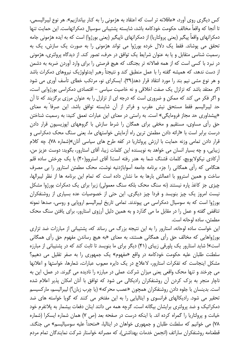کس دیگری روی آورد، «عاقلانه تر است که اعتقاد به هژمونی را به کنار بیاندازیم». هر نوع لیبرالیسمی، تا آنجا که واقعاً مخالف حکومت خودکامه باشد، شایسته پشتیبانی سوسیال دمکراتهاست. این حمایت تنها دمکراتهای واقعاً پیگیر (یعنی پرولتاریا) از دمکراتهای ناپیگیر (یعنی بورژوا) است که به ایده هژمونی جامه تحقق می پوشاند. فقط یک دلال خرده بورژوا می تواند هژمونی را به صورت یک سازش، یک به رسمیت شناسی متقابل و یا به عنوان شرایط یک توافق در حرف، تصور کند. از دیدگاه پرولتری، هژمونی در نبرد با کسی است که از همه فعالانه تر بجنگد، که هیچ فرصتی را برای وارد آوردن ضربه به دشمن از دست ندهد، که همیشه گفته را با عمل منطبق کند و نتیجتاً رهبر ایدئولوژیک نیروهای دمکرات باشد و هر نوع مشی نیم بند را مورد انتقاد قرار دهد(٣٩). ایسکرای نو، مرتکب خطای تأسف آوری می شود اگر معتقد باشد که تزلزل یک صفت اخلاقی و نه خاصیت سیاسی – اقتصادی دمکراسی بورژوایی است، و اگر فکر می کند که ممکن و ضروری است که درجه ای از تزلزل را به عنوان مرزی برگزیند که تا آن حد ليبراليسم فقط مستحق نيش عقرب و فراتر از آن شايسته توافق باشد. اين صرفاً به معناى «پیشداوری حد مجاز فرومایگی» است. به راستی در معنای این عبارات تعمق کنید: به رسمیت شناختن حق رأی مساوی، مستقیم و مخفی برای همگان را شرط سازش با گروههای اپوزیسیون قرار دادن درست برابر است با «ارائه دادن مطمئن ترین راه آزمایش خواستهای ما، یعنی سنگ محک دمکراسی و قرار دادن تمامی وزنه حمایت با ارزش پرولتاریا در کفه طرح های سیاسی آنان»(شماره ۷۸). چه کلام زیبایی، و چه بسیار انسان می خواهد به نویسنده این کلمات زیبا، آقای استارور، بگوید: دوست عزیز من، آرکادی نیکولایویچ، کلمات قشنگ شما به هدر رفته است! آقای استروو(۴۰) با یک چرخش ساده قلم هنگامی که رأی همگانی را جزء برنامه جامعه آسواباژدنیه نوشت، محک مطمئن استارور را بی مصرف ساخت و همین استروو با اعمالش بارها به ما نشان داده است که تمام این برنامه ها از نظر لیبرالها، چیزی جز کاغذ پاره نیستند (نه سنگ محک بلکه سنگ معمولی) زیرا برای یک دمکرات بورژوا مشکل نیست امروز یک چیز بنویسد و فردا چیز دیگری. این حتی از خصوصیات عده بسیاری از روشنفکران بورژوا است که به سوسیال دمکراسی می پیوندند. تمامی تاریخ لیبرالیسم اروپایی و روسی، صدها نمونه تناقض گفته و عمل را در مقابل ما می گذارد و به همین دلیل آرزوی استارور، برای یافتن سنگ محک مطمئن، ساده لوحانه است.

این خواست ساده لوحانه، استارور را به این نتیجه بزرگ می رساند که، پشتیبانی از مبارزات ضد تزاری بورژواهایی که مخالف حق رأی همگانی هستند، به معنای «به هیچ رساندن مفهوم حق رأی همگانی است»! شاید استارور یک یاورقی زیبای (۴۱) دیگر برای ما بنویسد تا ثابت کند که در پشتیبانی از مبارزه سلطنت طلبان علیه حکومت خودکامه در واقع «مفهوم» یک جمهوری را به صفر تقلیل می دهیم؟ مشکل اینجاست که تفکرات استارور، لاعلاج در یک دایره معیوب عبارات، شعارها، خواستها و اعلانها می چرخند و تنها محک واقعی یعنی میزان شرکت عملی در مبارزه را نادیده می گیرند. در عمل، این به ناچار منجر به بزک کردن آن روشنفکران رادیکالی می شود که توافق با آنان امکان پذیر اعلام شده است. بدینسان با جلوه دادن روشنفکران همچون «عصب محرکه» (یا چرب زبان؟) لیبرالیسم، مارکسیسم تحقیر می شود. رادیکالهای فرانسوی و ایتالیایی را به این مفتخر می کنند که گویا خواسته های ضد دمکراتیک و ضد پرولتری برایشان بیگانه است، گرچه همه می دانند اینان دفعات بیشمار به پلاتفرم خود خیانت و پرولتاریا را گمراه کرده اند. با اینکه درست در صفحه بعد (ص ۷) همان شماره ایسکرا (شماره ۷۸) می خوانیم که سلطنت طلبان و جمهوری خواهان در ایتالیا، «متحداً علیه سوسیالیسم» می جنگند. قطعنامه روشنفكران ساراتف (انجمن خدمات بهداشتی)، كه مصرانه خواستار شركت نمایندگان تمام مردم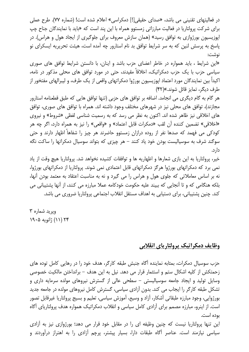در فعالیتهای تقنینی می باشد، «صدای حقیقی[!] دمکراسی» اعلام شده است! (شماره ۷۷). طرح عملی برای شرکت پرولتاریا در فعالیت مبارزاتی زمستوو همراه با این پند است که «باید با نمایندگان جناح چپ اپوزیسیون بورژوازی به توافق رسید» (همان سازش معروف برای جلوگیری از ایجاد هول و هراس). در پاسخ به پرسش لنین که به سر شرایط توافق بد نام استارور چه آمده است، هیئت تحریریه ایسکرای نو نوشت:

«این شرایط ، باید همواره در خاطر اعضای حزب باشد و اینان، با دانستن شرایط توافق های صوری سیاسی حزب با یک حزب دمکراتیک، اخلاقاً مقیدند، حتی در مورد توافق های محلی مذکور در نامه، اکیداً بین نمایندگان مورد اعتماد اپوزیسیون بورژوا دمکراتهای واقعی از یک طرف، و لیبرالهای مفتخور از طرف دیگر، تمایز قائل شوند.»(۴۲)

هر گام به گام دیگری می انجامد. اضافه بر توافق های حزبی (تنها توافق هایی که طبق قطعنامه استارور مجازند)، توافق های محلی نیز در شهرهای مختلف وجود داشته اند. همراه با توافق های صوری، توافق های اخلاقی نیز ظاهر شده اند. اکنون به نظر می رسد که به رسمیت شناسی لفظی «شروط» و نیروی «اخلاقی» تضمین کننده آن لقب «دمکرات قابل اعتماد» و «واقعی» را نیز به همراه دارد، اگر چه هر کودکی می فهمد که صدها نفر از روده درازان زمستوو حاضرند هر چیز را شفاهاً اظهار دارند و حتی سوگند شرف به سوسیالیست بودن خود یاد کنند – هر چیزی که بتواند سوسیال دمکراتها را ساکت نگه دار د.

خير، پرولتاريا به اين بازي شعارها و اظهاريه ها و توافقات كشيده نخواهد شد. پرولتاريا هيچ وقت از ياد نمی برد که دمکراتهای بورژوا هرگز دمکراتهای قابل اعتمادی نمی شوند. پرولتاریا از دمکراتهای بورژوا، نه بر اساس معاملاتی که جلوی هول و هراس را می گیرد و نه به مناسبت اعتقاد به معتمد بودن آنها، بلکه هنگامی که و تا آنجایی که ببیند علیه حکومت خودکامه عملا مبارزه می کنند، از آنها پشتیبانی می کند. چنین پشتیبانی، برای دستیابی به اهداف مستقل انقلاب اجتماعی پرولتاریا ضروری می باشد.

ويريد شماره ٣ ۲۴ (۱۱) ژانویه ۱۹۰۵

## وظايف دمكراتيك پرولتارياي انقلابي

حزب سوسیال دمکرات، بمثابه نماینده آگاه جنبش طبقه کارگر، هدف خود را در رهایی کامل توده های زحمتکش از کلیه اشکال ستم و استثمار قرار می دهد. نیل به این هدف – برانداختن مالکیت خصوصی وسایل تولید و ایجاد جامعه سوسیالیستی – سطحی عالی از گسترش نیروهای مولده سرمایه داری و تشکل طبقه کارگر را ایجاب می کند. بدون آزادی سیاسی، گسترش کامل نیروهای مولده در جامعه جدید بورژوایی، وجود مبارزه طبقاتی آشکار، آزاد و وسیع، آموزش سیاسی، تعلیم و بسیج پرولتاریا غیرقابل تصور است. از اینرو، مبارزه مصمم برای آزادی کامل سیاسی و انقلاب دمکراتیک همواره هدف پرولتاریای آگاه ىودە است.

این تنها پرولتاریا نیست که چنین وظیفه ای را در مقابل خود قرار می دهد؛ بورژوازی نیز به آزادی سیاسی نیازمند است. عناصر آگاه طبقات دارا، بسیار پیشتر، پرچم آزادی را به اهتراز درآوردند و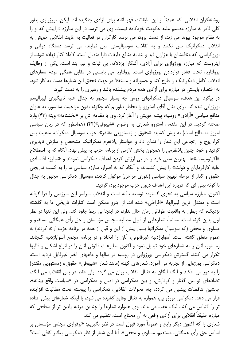روشنفکران انقلابی، که عمدتاً از این طبقاتند، قهرمانانه برای آزادی جنگیده اند. لیکن، بورژوازی بطور کلی قادر به مبارزه مصمم علیه حکومت خودکامه نیست، وی می ترسد در این مبارزه داراییش که او را به نظام موجود پیوند می زند، از دست برود، می ترسد کارگران در فعالیت به غایت انقلابی خویش به انقلاب دمکراتیک بس نکنند و به انقلاب سوسیالیستی میل نمایند، می ترسد دستگاه دولتی و بوروكراسي، كه منافعشان با هزاران قيد و بند به منافع طبقات دارا متصل است، كاملا كنار نهاده شوند. از اینروست که مبارزه بورژوازی برای آزادی، آشکارا بزدلانه، بی ثبات و نیم بند است. یکی از وظایف پرولتاریا، تحت فشار قراردادن بورژوازی است. پرولتاریا می بایستی در مقابل همگی مردم شعارهای انقلاب کامل دمکراتیک را طرح کند و جسورانه و مستقلا در جهت تحقق این شعارها دست به کار شود. به اختصار، بایستی در مبارزه برای آزادی همه مردم پیشقدم باشد و رهبری را به دست گیرد.

در پیگرد این هدف، سوسیال دمکراتهای روس چه بسیار مجبور به جدال علیه ناپیگیری لیبرالیسم بورژوایی شده اند. برای مثال آقای استروو را بخاطر بیاوریم که چگونه بدون مزاحمت سانسور، به عنوان مدافع سیاسی «آزادی» روسیه، پیشه خویش را آغاز کرد. وی با مقدمه اش بر «بخشنامه» ویته (۴۳) وارد صحنه گردید. در این مقدمه، استروو شعاری به وضوح «شیپوفی»(۴۴) (همانطور که در زبان سیاسی امروز مصطلح است) به پیش کشید: «حقوق و زمستوویی مقتدر». حزب سوسیال دمکرات، ماهیت پس گرا، پوچ و ارتجاعی این شعار را نشان داد و خواستار پلاتفرم دمکراتیک مشخص و سازش ناپذیری گردید و خود، چنین پلاتفرمی را همچون بخش لازمی از برنامه حزب به پیش نهاد. آنگاه که به اصطلاح «اکونومیست»ها، بهترین سعی خود را در بی ارزش کردن اهداف دمکراسی نمودند و «مبارزه اقتصادی علیه کارفرمایان و دولت» را پیش کشیدند، و آنگاه که به اصرار، مبارزه سیاسی ما را به کسب تدریجی حقوق و گذار از مرحله تهییج سیاسی (تئوری مراحل) موکول کردند، سوسیال دمکراسی مجبور به جدال با کوته بینی ای که درباره این اهداف درون حزب موجود بود، گردید.

اکنون، مبارزه سیاسی به نحوی گسترده توسعه یافته است و انقلاب سراسر این سرزمین را فرا گرفته است و معتدل ترین لیبرالها، «افراطی» شده اند. از اینرو ممکن است اشارات تاریخی ما به گذشته نزدیک، که ربطی به واقعیت طوفانی زمان حال ندارد، در اینجا بی ربط جلوه کند. ولی این تنها در نظر اول بدين گونه است. مسلماً، شعارهايي از قبيل مطالبه مجلس مؤسسان و حق رأي همگاني مستقيم و مساوی و مخفی (که سوسیال دمکراتها بسیار پیش از این و قبل از همه در برنامه حزب ارائه کردند) به عموم متعلق گشته است. آسواباژدنیه غیرقانونی، آنان را اتخاذ و در برنامه مجمع آسواباژدنیه گنجاند. زمستوو، آنان را به شعارهای خود تبدیل نمود و اکنون مطبوعات قانونی آنان را در انواع اشکال و قالبها تکرار می کنند. گسترش دمکراسی بورژوایی در روسیه در سالها و ماههای اخیر غیرقابل تردید است. دمکراسی بورژوایی از تجربه می آموزد، شعارهای کهنه (مانند شعار «شیپوفی» حقوق و زمستوویی مقتدر) را به دور می افکند و لنگ لنگان به دنبال انقلاب روان می گردد. ولی فقط در پس انقلاب می لنگد، تضادهای نو بین گفتار و کردارش، و بین دمکراسی در اصل و دمکراسی در «سیاست واقع بینانه»، جانشین تناقضات پیشین می گردد، چه، تحولات انقلابی، دمکراسی را پیوسته تحت مطالبات افزاینده قرار می دهد. دمکراسی بورژوایی، همواره به دنبال وقایع کشیده می شود، با اینکه شعارهای پیش افتاده تر را اقتباس می کند، لیک عقب می ماند. وی همواره شعارها را چندین مرتبه پایین تر از سطحی که مبارزه حقیقتاً انقلابی برای آزادی واقعی به آن محتاج است، تنظیم می کند. شعاری را که اکنون دیگر رایج و عموماً مورد قبول است در نظر بگیریم: «برقراری مجلس مؤسسان بر

اساس حق رأى همگاني، مستقيم، مساوى و مخفى». آيا اين شعار از نظر دمكراسي پيگير كافي است؟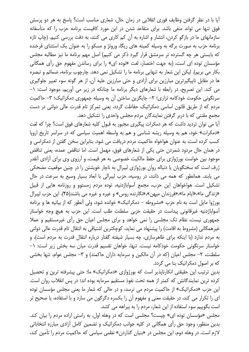آیا با در نظر گرفتن وظایف فوری انقلابی در زمان حال، شعاری مناسب است؟ پاسخ به هر دو پرسش فوق تنها می تواند منفی باشد. برای متقاعد شدن در این مورد کافیست برنامه حزب را که متأسفانه سازمانهای ما در بازگو کردن، انتشار و اشاره به آن کم کاری می کنند، به دقت بررسی کنیم. (چاپ تازه برنامه حزب به صورت برگه به وسیله کمیته های ریگا، ورونژ و مسکو را به عنوان یک استثنای فرخنده که بایستی هر چه گسترده تر سرمشق قرار گیرد ذکر می کنیم) اصل مهم برنامه ما نیز مطالبه مجلس مؤسسان توده ای است، (به جهت اختصار، لغت «توده ای» را برای رساندن مفهوم حق رأی همگانی بکار می بریم). لیکن این شعار به تنهایی برنامه ما را تشکیل نمی دهد. چارچوب برنامه، ضمائم و تبصره ها در مقابل ناپیگیرترین مبارزین برای آزادی و حتی مبارزین علیه آن، از هر گونه سوء تعبیر جلوگیری می کند. این تصریح، در رابطه با شعارهای دیگر برنامه ما چنانکه در زیر می آوریم، موجود است: ۱-سرنگونی حکومت خودکامه تزاری؛ ۲- جایگزین ساختن آن به وسیله جمهوری دمکراتیک؛ ۳- حاکمیت مردم که از طریق قانون اساسی دمکراتیک حفاظت گردد، یعنی تمرکز تام قدرت عالی دولتی در دست مجمع مقننی که با دربر گرفتن نمایندگان مردم مجلس واحدی را تشکیل دهد.

آیا می توان تردید داشت که هر دمکرات پیگیری مجبور به قبول کلیه شعارهای فوق است؟ چرا که لغت «دمکرات» خود، هم به وسیله ریشه شناسی و هم به واسطه اهمیت سیاسی که در سراسر تاریخ اروپا کسب کرده است، به عنوان هواخواه حاکمیت مردم دریافت می شود. بنابراین سخن گفتن از دمکراسی و در همان حال مردود شمردن حتى يكي از شعارهاى فوق، مهمل است. اما تناقض عمده، يعني تناقض موجود بین خواست بورژوازی برای حفظ مالکیت خصوصی به هر قیمت، و آرزوی وی برای آزادی آنقدر ژرف است که سخنگویان یا دنباله روان بورژوازی لیبرال به ناچار خویشتن را در چنین موقعیت مضحکی می پابند. همانطور که همه می دانند، در روسیه، حزب لیبرالی با ابعاد بسیار وسیع به سرعت در حال تشکیل است. هواخواهان این حزب، مجمع آسواباژدنیه، توده مردم زمستوو و روزنامه هایی از قبیل «زندگی ما»،«ایام ما»،«فرزندان میهن»،«نگارنده روس» و غیره و غیره می باشند(۴۵). این حزب لیبرال بورژوا مایل است به نام حزب «مشروطه – دمکراتیک» خوانده شود، ولی آنطور که از بیانیه ها و برنامه آسواباژدنیه غیرقانونی پیداست در حقیقت حزبی سلطنت طلب است. این حزب به هیچ وجه خواستار جمهوری نیست، نظام تک مجلسی را نمی خواهد و برای مجلس اعیان حق رأی غیرمستقیم و عملا غیرهمگانی (مشروط به اقامت) را پیشنهاد می نماید، کوچکترین اشتیاقی به انتقال تام قدرت عالی دولتی به مردم ندارد (با اینکه برای ظاهرسازی، چه بسیار شیفته گفتار درباره انتقال قدرت به مردم است)، و خواستار سرنگونی حکومت خودکامه نیست. تنها، خواهان تقسیم قدرت میان سه بخش زیر است: ١– سلطنت، ۲– مجلس اعیان (که در آن مالکین و سرمایه داران حاکمند) و ۳– مجلس عوام، تنها بخشی که بر اصول دمکراتیک بنا می گردد.

بدین ترتیب این حقیقتی انکارناپذیر است که بورژوازی «دمکراتیک» ما؛ حتی پیشرفته ترین و تحصیل كرده ترين نمايندگانش كه كمتر از همه تحت نفوذ مستقيم سرمايه بوده اند؛ در پس انقلاب روان است. این حزب «دمکراتیک» از حاکمیت مردم می ترسد، و در حالی که شعار ما یعنی مجلس مؤسسان توده ای را تکرار می کند، در حقیقت معنی و مفهوم آن را یکسره دگرگون می سازد و با استفاده، یا صحیح تر است بگوییم سوء استفاده از این شعار، مردم را به بیراهه می کشد.

مجلس «مؤسسان توده ای» چیست؟ مجلسی است که در وهله اول، به راستی اراده مردم را بیان کند. بدین منظور، وجود حق رأی همگانی در کلیه جوانب دمکراتیک و تضمین کامل آزادی مبارزه انتخاباتی لازم است. در وهله دوم، این مجلس در «بنیان گذاردن» نظمی سیاسی که حاکمیت مردم را تأمین کند،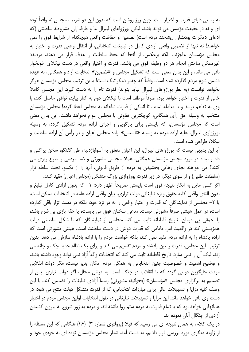به راستی دارای قدرت و اختیار است. چون روز روشن است که بدون این دو شرط ، مجلس نه واقعاً توده ای و نه در حقیقت مؤسس می تواند باشد. لیکن بورژواهای لیبرال ما و طرفداران مشروطه سلطنتی (که ادعای دمکرات بودنشان ریشخند مردم است) تضمین و حفاظت واقعی هیچکدام از شرایط فوق را نمی خواهند! نه تنها از تضمین واقعی آزادی کامل در تبلیغات انتخاباتی، از انتقال واقعی قدرت و اختیار به مجلس مؤسسان عاجزند، بلکه برعکس، از آنجا که حفظ سلطنت را هدف قرار می دهند، درصدد غیرممکن ساختن انجام هر دو وظیفه فوق می باشند. قدرت و اختیار واقعی در دست نیکلای خونخوار باقی می ماند، و این بدان معنی است که تشکیل مجلس و «تضمین» انتخابات آزاد و همگانی، به عهده دشمن شوم مردم گذارده شده است. واقعاً که چقدر دمکراتیک است! بدین ترتیب مجلس مؤسسان هرگز نخواهد توانست (به نظر بورژواهای لیبرال نباید بتواند) قدرت تام را به دست گیرد. این مجلس کاملا خالی از قدرت و اختیار خواهد بود، صرفاً موظف است با نیکلای دوم به کنار بیاید، توافق حاصل کند، با وی به تفاهم برسد و یا معامله نماید، تا اندکی از قدرت شاهانه به مجلس اعطا گردد! مجلس مؤسسان منتخب به وسیله حق رأی همگانی، کوچکترین تفاوتی با مجلس عوام نخواهد داشت. این بدان معنی است که مجلس مؤسسان، که بایستی برای بازگویی و اجرای اراده مردم تشکیل گردد، به وسیله بورژوازی لیبرال، علیه اراده مردم به وسیله «تأسیس» اراده مجلس اعیان و در رأس آن اراده سلطنت و نيكلا، طراحي شده است.

آیا این بدیهی نیست که بورژواهای لیبرال، این اعیان متعلق به آسواباژدنیه، طی گفتگو، سخن پراکنی و داد و بیداد در مورد مجلس مؤسسان همگانی، عملا مجلسی مشورتی و ضد مردمی را طرح ریزی می كنند؟ مي خواهند بجاي رهايي بخشيدن به مردم از طريق قانوني، أنها را از يكسو، تحت سلطه تزار (سلطنت طلبی) و از سوی دیگر، در زیر قدرت بورژوازی بزرگ متشکل (مجلس اعیان) مقید کنند.

اگر کسی مایل به انکار نتیجه فوق است بایستی صریحاً اظهار دارد: ۱– که بدون آزادی کامل تبلیغ و بدون الغاي واقعي كليه حقوق ويژه تبليغاتي دولت تزارى، بيان واقعي اراده عامه در انتخابات ممكن است، یا ۲– مجلسی از نمایندگان که قدرت و اختیار واقعی را نه در نزد خود، بلکه در دست تزار باقی گذارده است، در عمل هیئتی صرفاً مشورتی نیست. مدعی سخنان فوق می بایست، یا حقه بازی بی شرم باشد، یا احمقی بی درمان. تاریخ قاطعانه ثابت می کند مجلسی از نمایندگان که با شکل سلطنتی دولت همزیستی کند در واقعیت امر، مادامی که قدرت دولتی در دست سلطنت است، هیئتی مشورتی است که اراده پادشاه را به اراده مردم مقید نمی کند، بلکه خواست مردم را با اراده پادشاه سازش می دهد. بدین ترتیب، این مجلس، قدرت را بین پادشاه و مردم تقسیم می کند و برای یک نظام جدید چک و چانه می زند، ليک اّن را نمي سازد. تاريخ قاطعانه ثابت مي کند که انتخابات واقعاً اّزاد نمي تواند وجود داشته باشد، و توضیح اهمیت و خصوصیت چنین انتخاباتی به همگی مردم امکان پذیر نیست، مگر دولت انقلابی موقت جایگزین دولتی گردد که با انقلاب در جنگ است. به فرض محال، اگر دولت تزاری، پس از تصمیم به برگزاری مجلس «مؤسسان» (بخوانید: مشورتی) رسماً آزادی تبلیغات را تضمین کند، با این وصف کلیه مزایا و تسهیلات عالی برای مبارزات انتخاباتی، که از قدرت متشکل دولت منتج می شود، در دست وي باقي خواهد ماند. اين مزايا و تسهيلات تبليغاتي در طول انتخابات اولين مجلس مردم در اختيار همانهایی خواهد بود که با تمام قدرت به مردم ستم روا داشته اند، و مردم به زور شروع به بیرون کشیدن آزادی از چنگال آنان نموده اند.

در یک کلام، به همان نتیجه ای می رسیم که قبلا (پرولتری شماره ۳)، (۴۶) هنگامی که این مسئله را از زاویه دیگری مورد بررسی قرار دادیم، به دست آمد. شعار مجلس مؤسسان توده ای به خودی خود و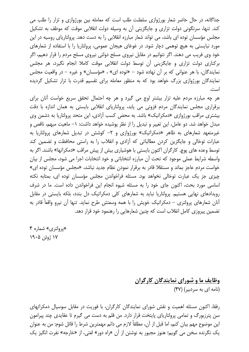جداگانه، در حال حاضر شعار بورژوازی سلطنت طلب است که معامله بین بورژوازی و تزار را طلب می کند. تنها، سرنگونی دولت تزاری و جایگزینی آن به وسیله دولت انقلابی موقت که موظف به تشکیل مجلس مؤسسان توده ای باشد، می تواند شعار مبارزه انقلابی را به دست دهد. پرولتاریای روسیه در این مورد نبایستی به هیچ توهمی دچار شود. در غوغای هیجان عمومی، پرولتاریا را با استفاده از شعارهای خود وی فریب می دهند. اگر نتوانیم در مقابل نیروی مسلح دولتی نیروی مسلح مردم را قرار دهیم، اگر برکناری دولت تزاری و جایگزینی آن توسط دولت انقلابی موقت کاملا انجام نگیرد، هر مجلس نمایندگان، با هر عنوانی که بر آن نهاده شود – «توده ای» ، «مؤسسان» و غیره – در واقعیت مجلس نمایندگان بورژوازی بزرگ خواهد بود که به منظور معامله برای تقسیم قدرت با تزار تشکیل گردیده است.

هر چه مبارزه مردم علیه تزار بیشتر اوج می گیرد و هر چه احتمال تحقق سریع خواست آنان برای برقراری مجلس نمایندگان مردم فزونی می یابد، پرولتاریای انقلابی بایستی به همان اندازه با دقت بیشتری مراقب بورژوازی «دمکراتیک» باشد. به محض کسب آزادی، این متحد پرولتاریا به دشمن وی مبدل خواهد شد. دو عامل، این تغییر و تبدیل را از نظر پوشیده خواهد داشت: ١– ماهیت مبهم، ناقص و غیرمتعهد شعارهای به ظاهر «دمکراتیک» بورژوازی و ۲- کوشش در تبدیل شعارهای پرولتاریا به عبارات توخالی و جایگزین کردن مطالباتی که آزادی و انقلاب را به راستی محافظت و تضمین کند توسط وعده های پوچ. کارگران اکنون بایستی با هوشیاری بیش از پیش مراقب «دمکراتها» باشند. اگر به واسطه شرایط عملی موجود که تحت آن مبارزه انتخاباتی و خود انتخابات اجرا می شود، مجلس از بیان خواست مردم عاجز بماند و مستقلا قادر به برقرار نمودن نظام جدید نباشد، «مجلس مؤسسان توده ای» چیزی جز یک عبارت توخالی نخواهد بود. مسئله فراخواندن مجلس مؤسسان توده ای، بمثابه نکته اساسی مورد بحث، اکنون جای خود را به مسئله شیوه انجام این فراخواندن داده است. ما در شرف رویدادهای نهایی هستیم. پرولتاریا نباید به شعارهای کلی دمکراتیک دل بندد، بلکه بایستی در مقابل أنان شعارهای پرولتری – دمکراتیک خویش را با همه وسعتش طرح نماید. تنها أن نیرو واقعاً قادر به تضمین پیروزی کامل انقلاب است که چنین شعارهایی را رهنمود خود قرار دهد.

«پرولتري» شماره ۴ ۱۷ ژوئن ۱۹۰۵

> وظايف ما و شوراي نمايندگان كارگران (نامه ای به سردبیر) (۴۷)

رفقا، اکنون مسئله اهمیت و نقش شورای نمایندگان کارگران، با فوریت در مقابل سوسیال دمکراتهای سن پترزبورگ و تمامی پرولتاریای پایتخت قرار دارد. من قلم به دست می گیرم تا عقایدی چند پیرامون این موضوع مهم بیان کنم، اما قبل از آن، مطلقاً لازم می دانم مهمترین شرط را قائل شوم: من به عنوان يک نگرنده سخن مي گويم؛ هنوز مجبور به نوشتن از آن «راه دور» لغتي، از «خارجه» نفرت انگيز يک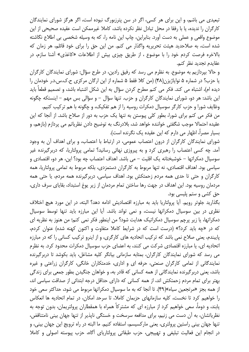تبعیدی می باشم، و این برای هر کسی، اگر در سن پترزبورگ نبوده است، اگر هرگز شورای نمایندگان كارگران را نديده، يا با رفقا در محل تبادل نظر نكرده باشد، كاملا غيرممكن است عقيده صحيحى از اين موضوع واقعی و عملی به دست آورد. بنابراین، چاپ این نامه را، که به وسیله شخصی بی اطلاع نگاشته شده است، به صلاحدید هیئت تحریریه واگذار می کنم. من این حق را برای خود قائلم، هر زمان که بالاخره فرصت كردم خود را با موضوع ، از طريق چيزي بيش از اطلاعات «كاغذي» آشنا سازم، در عقايدم تجديد نظر كنم.

و حالا بپردازیم به موضوع. به نظرم می رسد که رفیق رادین، در طرح سؤال: شورای نمایندگان کارگران یا حزب؟ در شماره ۵ نوایاژیزن(۴۸) (من کلا فقط ۵ شماره از این ارگان مرکزی ح.ک.س.د.ر خودمان را دیده ام)، اشتباه می کند. فکر می کنم مطرح کردن سؤال به این شکل اشتباه باشد، و تصمیم قطعاً باید این باشد: هر دو، شورای نمایندگان کارگران و حزب. تنها سؤال – و سؤالی بس مهم – اینستکه چگونه وظایف شورا و حزب کارگر سوسیال دمکرات روسیه را از هم تفکیک، و چگونه با هم ترکیب کنیم.

من فکر می کنم برای شورا، بطور کلی پیوستن به تنها یک حزب به دور از صلاح باشد. از آنجا که این عقيده احتمالا موجب شگفتي خواننده خواهد شد، بلادرنگ به توضيح دادن نظرياتم مي پردازم (بازهم، و بسيار مصراً، اظهار مي دارم كه اين عقيده يک نگرنده است).

شورای نمایندگان کارگران از درون اعتصاب عمومی، در ارتباط با اعتصاب، و برای اهداف آن به وجود آمد. چه کسی اعتصاب را رهبری کرد و به پیروزی نهائی رسانید؟ تمامی پرولتاریا، که دربرگیرنده غیر سوسیال دمکراتها – خوشبختانه یک اقلیت – می باشد. اهداف اعتصاب چه بود؟ این، هر دو، اقتصادی و سیاسی بود. اهداف اقتصادی، نه تنها مربوط به کارگران دستمزدی، بلکه مربوط به تمامی پرولتاریا، همه کارگران و حتی تا حدی همه مردم زحمتکش بود. اهداف سیاسی، دربرگیرنده همه مردم، یا حتی همه مردمان روسیه بود. این اهداف در جهت رها ساختن تمام مردمان از زیر یوغ استبداد، بقایای سرف داری، حق کشی و ستم پلیسی بود.

بگذارید جلوتر رویم. آیا پرولتاریا باید به مبارزه اقتصادیش ادامه دهد؟ البته، در این مورد هیچ اختلاف نظری در بین سوسیال دمکراتها نیست، و نمی تواند باشد. آیا این مبارزه باید تنها توسط سوسیال دمکراتها، یا زیر پرچم سوسیال دمکراتیک هدایت شود؟ من اینطور فکر نمی کنم؛ من هنوز به نظریه ای که در «چه باید کرد؟» (درست است که در شرایط کاملا متفاوت و اکنون کهنه شده) عنوان کردم، پایبندم، یعنی صلاح نمی باشد که ترکیب اتحادیه های کارگری، و از اینرو ترکیب کسانی را که در مبارزه اتحادیه ای، یا مبارزه اقتصادی شرکت می کنند، به اعضای حزب سوسیال دمکرات محدود کرد. به نظرم می رسد که شورای نمایندگان کارگران، بمثابه سازمانی بیانگر کلیه مشاغل، باید بکوشد تا دربرگیرنده نمایندگانی از تمامی کارگران صنعتی، حرفه ای و اداری، خدمتکاران خانگی، کارگران زراعتی و غیره باشد، یعنی دربر گیرنده نمایندگانی از همه کسانی که قادر به، و خواهان جنگیدن بطور جمعی برای زندگی بهتر برای تمام مردم زحمتکش اند، از همه کسانی که دارای حداقل درجه ابتدائی از صداقت سیاسی اند، از همه بجز «مرتجعین سیاه»(۴۹). تا آنجا که به ما سوسیال دمکراتها مربوط می شود، حداکثر سعی خود را خواهیم کرد تا نخست، کلیه سازمانهای حزبمان کاملا، تا سرحد امکان، در تمام اتحادیه ها انعکاس یابند، و دوماً، سعی خواهیم کرد از مبارزه ای که مشترکاً همراه با همقطاران پرولتریمان، بدون توجه به نظریاتشان، به آن دست می زنیم، برای مدافعه سرسخت و خستگی ناپذیر از تنها جهان بینی نامتناقض، تنها جهان بيني راستين پرولتري، يعني ماركسيسم، استفاده كنيم. ما البته در راه ترويج اين جهان بيني، و در انجام این فعالیت تبلیغی و تهییجی، حزب طبقاتی پرولتاریای آگاه، حزب پیوسته اصولی و کاملا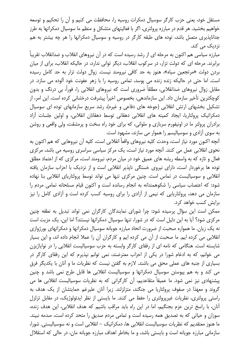مستقل خود، یعنی حزب کارگر سوسیال دمکرات روسیه را، محافظت می کنیم و آن را تحکیم و توسعه خواهیم بخشید. هر قدم در مبارزه پرولتری، اگر با فعالیتهای متشکل و منظم ما سوسیال دمکراتها به طرز جداناپذیری متصل باشد، توده های طبقه کارگر در روسیه و سوسیال دمکراتها را هر چه بیشتر به هم نزدیک مے کند.

مبارزه سیاسی هم اکنون به مرحله ای از رشد رسیده است که در آن نیروهای انقلاب و ضدانقلاب تقریباً برابرند. مرحله ای که دولت تزار، در سرکوب انقلاب، دیگر توانی ندارد، در حالیکه انقلاب، برای از میان بردن دولت «مرتجعین سیاه»، هنوز به حد کافی نیرومند نیست. زوال دولت تزار به حد کامل رسیده است. اما حتی در حالیکه زنده زنده می پوسد، تمامی روسیه را با زهر عفونت خود آلوده می سازد. در مقابل زوال نیروهای ضدانقلابی، مطلقاً ضروری است که نیروهای انقلابی را، فوراً، بی درنگ و بدون كوچكترين تأخير سازمان داد. اين سازماندهي، بخصوص اخيراً پيشرفت درخشاني كرده است. اين امر، از تشکیل بخشهای ارتش انقلابی (جوخه های دفاعی و غیره)، رشد سریع سازمانهای توده ای سوسیال دمکراتیک پرولتاریا، ایجاد کمیته های انقلابی دهقانی توسط دهقانان انقلابی، و اولین جلسات آزاد برادران پرولتر ما در اونیفورم سربازی و ملوانی، که برای خود راه سخت و پرمشقت، ولی واقعی و روشن به سوی آزادی و سوسیالیسم را هموار می سازند، مشهود است.

آنچه اکنون مورد نیاز است، وحدت کلیه نیروهای واقعاً انقلابی است، کلیه آن نیروهایی که هم اکنون به نحوی انقلابی عمل می کنند. آنچه مورد نیاز است، یک مرکز سیاسی سراسری روسیه می باشد، مرکزی فعال و تازه که به واسطه ریشه های عمیق خود در میان مردم، نیرومند است، مرکزی که از اعتماد مطلق توده ها برخوردار است، دارای نیروی خستگی ناپذیر انقلابی است و از نزدیک با احزاب سازمان یافته انقلابی و سوسیالیست در تماس است. چنین مرکزی تنها می تواند توسط پرولتاریای انقلابی بنا نهاده شود: که اعتصاب سیاسی را شکوهمندانه به انجام رسانده است و اکنون قیام مسلحانه تمامی مردم را سازمان می دهد، پرولتاریایی که نیمی از آزادی را برای روسیه کسب کرده است و آزادی کامل را نیز برایش کسب خواهد کرد.

ممکن است این سؤال پرسیده شود: چرا شورای نمایندگان کارگران نمی تواند تبدیل به نطفه چنین مرکزی شود؟ آیا به این دلیل است که در شورا، تنها سوسیال دمکراتها نیستند؟ اما این، یک مزیت است نه یک زیان. ما همواره صحبت از ضرورت اتحاد مبارزه جویانه سوسیال دمکراتها و دمکراتهای بورژوازی انقلابی می کرده ایم. ما صحبت از آن می کرده ایم و کارگران آن را عملا انجام داده اند، و این بسیار شایسته است. هنگامی که نامه ای از رفقای کارگر وابسته به حزب سوسیالیست انقلابی را در نوایاژیزن می خوانم، که به ادغام شورا در یکی از احزاب معترضند، نمی توانم نیذیرم که این رفقای کارگر در بسیاری از جنبه های عملی محق می باشند. لازم به گفتن نیست که نظریات ما و آنان با یکدیگر فرق می کند و به هم پیوستن سوسیال دمکراتها و سوسیالیست انقلابی ها قابل طرح نمی باشد و چنین پیشنهادی نیز نمی شود. ما عمیقاً متقاعدیم، آن کارگرانی که به نظریات سوسیالیست انقلابی ها می گروند و معهذا در صفوف پرولتاریا می جنگند، متزلزلند. زیرا آنان علیرغم حمایتشان از یک هدف به راستی پرولتری، نظریات غیرپرولتری را حفظ می کنند. ما بایستی از نظر ایدئولوژیک، در مقابل تزلزل آنان، با راسخ ترین عزم بجنگیم، اما در این راه باید مراقب باشیم که هدف انقلابی، این هدف زنده، سوزان و حیاتی که به تصدیق همه رسیده است و تمامی مردم صدیق را متحد کرده است، صدمه نبیند. ما هنوز معتقدیم که نظریات سوسیالیست انقلابی ها، دمکراتیک – انقلابی است و نه سوسیالیستی. شورا، سازمانی مبارزه جویانه است و بایستی باشد، و ما بخاطر اهداف مبارزه جویانه مان، در حالی که استقلال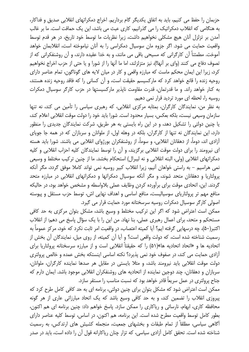حزبمان را حفظ می کنیم، باید به اتفاق یکدیگر گام برداریم. اخراج دمکراتهای انقلابی صدیق و فداکار، به هنگامی که انقلاب دمکراتیک را می گذرانیم، کاری عبث می باشد، این یک حماقت است. ما بر غالب آمدن بر تزلزل آنان هیچ مشکلی نخواهیم داشت، زیرا نظریات ما توسط خود تاریخ، در هر قدم توسط واقعیت حمایت می شود. اگر جزوه مان سوسیال دمکراسی را به آنان نیاموخته است، انقلابمان خواهد آموخت. مطمئناً آن کارگرانی که مسیحی باقی می مانند، و به خدا عقیده دارند، و آن روشنفکرانی که از تصوف دفاع می کنند (وای بر آنها!)، نیز متزلزلند، اما ما آنها را از شورا و یا حتی از حزب اخراج نخواهیم کرد، زیرا این ایمان محکم ماست که مبارزه واقعی و کار در میان لایه های گوناگون، تمام عناصر دارای روحیه زنده را قانع خواهد کرد که مارکسیسم حقیقت است، و آن کسانی را که فاقد روحیه زنده هستند، به کنار خواهد راند. و ما قدرتمان، قدرت مقاومت ناپذیر مارکسیستها در حزب کارگر سوسیال دمکرات روسیه را، لحظه ای مورد تردید قرار نمی دهیم.

به نظر من، نمایندگان کارگران، بمثابه مرکزی انقلابی، که رهبری سیاسی را تأمین می کند، نه تنها سازمان وسیعی نیست، بلکه بعکس، بسیار محدود است. شورا باید خود را دولت موقت انقلابی اعلام کند، یا چنین دولتی را تشکیل دهد، و در این راه بایستی به هر طریق، شرکت نمایندگان جدیدی را منظور دارد، این نمایندگان نه تنها از کارگران، بلکه در وهله اول، از ملوانان و سربازان که در همه جا جویای آزادی اند، دوماً، از دهقانان انقلابی، و سوماً، از روشنفکران بورژوای انقلابی می باشند. شورا باید هسته ای نیرومند را برای دولت موقت انقلابی برگزیند، و آن را توسط نمایندگان کلیه احزاب انقلابی و کلیه دمکراتهای انقلابی (ولی، البته انقلابی و نه لیبرال) استحکام بخشد. ما از چنین ترکیب مختلط و وسیعی نمی هراسیم – به راستی خواهان آنیم، زیرا انقلاب کبیر روسیه نمی تواند کاملا موفق گردد، مگر آنکه پرولتاریا و دهقانان متحد شوند، و مگر آنکه سوسیال دمکراتها و دمکراتهای انقلابی در مبارزه متحد گردند. این، اتحادی موقت برای برآورده کردن وظایف عملی بلاواسطه و مشخص خواهد بود، در حالیکه منافع مهم تر پرولتاریای سوسیالیست، منافع اساسی و اهداف نهایی اش، توسط حزب مستقل و پیوسته اصولی کارگر سوسیال دمکرات روسیه سرسختانه مورد حمایت قرار می گیرد.

ممکن است اعتراض شود که اگر این ترکیب مختلط و وسیع باشد، مشکل بتوان مرکزی به حد کافی مستحکم و متحد، برای اعمال رهبری عملی، بنا نهاد. من این را با یک سؤال پاسخ می دهم: از انقلاب اکتبر(۵۰)، چه درسهایی گرفته ایم؟ آیا کمیته اعتصاب، در واقعیت امر ثابت نکرد که خود، مرکز عموماً به رسمیت شناخته شده است، که دولت واقعی است؟ و آیا آن کمیته، از روی میل، نمایندگان آن بخش از اتحادیه ها و «اتحاد اتحادیه ها»(۵۱) را که حقیقتاً انقلابی است و از مبارزه سرسختانه پرولتاریا برای آزادی حمایت می کند، در صفوف خود نمی پذیرد؟ نکته اساسی اینستکه بخش عمده و خالص پرولتری دولت موقت انقلابی باید نیرومند باشد، و مثلا بایستی در مقابل هر صدها نماینده کارگران، ملوانان، سربازان و دهقانان، چند دوجین نماینده از اتحادیه های روشنفکران انقلابی موجود باشد. ایمان دارم که جناح پرولتری در عمل سریعاً قادر خواهد بود که نسبت مناسب را مستقر سازد.

ممکن است اعتراض شود که مشکل بتوان برای چنین دولتی، برنامه ای به حد کافی کامل طرح کرد که پیروزی انقلاب را تضمین کند، و به حد کافی وسیع باشد که یک اتحاد مبارزاتی عاری از هر گونه محافظه کاری، ابهام، نارسائی و ریاکاری را ممکن سازد. پاسخ خواهم داد: چنین برنامه ای هم اکنون، بطور كامل توسط واقعيت مطرح شده است. اين برنامه، هم اكنون، در اساس، توسط كليه عناصر داراي آگاهی سیاسی، مطلقاً از تمام طبقات و بخشهای جمعیت، منجمله کشیش های ارتدکس، به رسمیت شناخته شده است. تحقق کامل آزادی سیاسی، که تزار چنان ریاکارانه قول آن را داده است، باید در صدر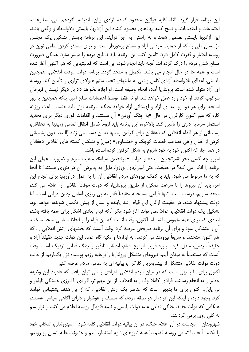این برنامه قرار گیرد. الغاء کلیه قوانین محدود کننده آزادی بیان، اندیشه، گردهم آیی، مطبوعات، اجتماعات و اعتصابات، و نسخ كليه نهادهاى محدود كننده اين آزاديها، بايستى بلاواسطه و واقعى باشد، این آزادیها بایستی تضمین شوند و به راستی به اجرا درآیند. این برنامه بایستی تشکیل یک مجلس مؤسسان ملی را، که از حمایت مردمی آزاد و مسلح برخوردار است، و برای مستقر کردن نظمی نوین در روسیه اختیار و قدرت کامل دارد، تأمین کند. این برنامه باید تسلیح مردم را میسر سازد. همگی ضرورت مسلح شدن مردم را درک کرده اند. آنچه باید انجام شود، این است که فعالیتهایی که هم اکنون آغاز شده است و همه جا در حال انجام می باشد، تکمیل و متحد گردد. برنامه دولت موقت انقلابی، همچنین بایستی، اعطای بلاواسطه آزادی کامل واقعی به ملیتهای تحت ستم هیولای تزاری را تأمین کند. روسیه ای آزاد متولد شده است. پرولتاریا آماده انجام وظیفه است. او اجازه نخواهد داد بار دیگر لهستان قهرمان سرکوب گردد. او خود وارد عمل خواهد شد، او نه فقط توسط اعتصابات صلح آمیز، بلکه همچنین با زور اسلحه برای هر دو، روسیه ای آزاد و لهستانی آزاد خواهد جنگید. برنامه فوق باید هشت ساعت روزانه کار، که هم اکنون کارگران در حال «به چنگ آوردن» آن هستند، و اقدامات فوری دیگر برای تحدید استثمار سرمایه داری را تأمین کند. بالاخره، این برنامه باید لزوماً شامل انتقال تمامی زمینها به دهقانان، پشتیبانی از هر اقدام انقلابی که دهقانان برای گرفتن زمینها به آن دست می زنند (البته، بدون پشتیبانی کردن از خیال واهی تصاحب قطعات کوچک و «متساوی» زمین) و تشکیل کمیته های انقلابی دهقانان در همه جا، که اکنون خود به خود شروع به شکل گرفتن کرده است، باشد.

امروز چه کسی بجز «مرتجعین سیاه» و دولت «مرتجعین سیاه»، ماهیت مبرم و ضرورت عملی این برنامه را انکار می کند؟ در حقیقت، حتی لیبرالهای بورژوا، مایل به پذیرش آن در تئوری هستند! تا آنجا که به ما مربوط می شود، باید با کمک نیروهای مردم انقلابی آن را به عمل درآوریم؛ برای انجام این امر، باید آن نیروها را با سرعت ممکن، از طریق پرولتاریا، که دولت موقت انقلابی را اعلام می کند، متحد سازیم. درست است، تنها قیامی مسلحانه حقیقتاً قادر به پی ریزی اساس چنین دولتی است. اما دولت پیشنهاد شده، در حقیقت ارگان این قیام رشد یابنده و بیش از پیش تکمیل شونده، خواهد بود. تشکیل یک دولت انقلابی، عملا نمی تواند آغاز شود مگر آنکه قیام ابعادی آشکار برای همه یافته باشد، ابعادی که برای همه ملموس باشد. اما اکنون، وقت آنست که این قیام را از لحاظ سیاسی متحد ساخت، آن را متشکل نمود و برای آن برنامه صریحی عرضه کرد؛ وقت آنست که بخشهای ارتش انقلابی را، که هم اکنون متحدند و سریعاً نیرومند می گردند، به ابزارها و تکیه گاه عمده این دولت جدید حقیقتاً آزاد و حقيقتاً مردمي، مبدل كرد. مبارزه قريب الوقوع، قيام، اجتناب ناپذير و جنگ قطعي نزديک است. وقت آنست که مستقیماً به میدان آییم، نیروهای متشکل پرولتاریا را برعلیه رژیم پوسیده تزار بگماریم، از جانب دولت موقت انقلابی متشکل از پیشروترین کارگران، بیانیه ای به تمامی مردم عرضه کنیم.

اکنون برای ما بدیهی است که در میان مردم انقلابی، افرادی را می توان یافت که قادرند این وظیفه خطیر را به انجام رسانند، افرادی کاملا وفادار به انقلاب، از این مهم تر، افرادی با انرژی خستگی ناپذیر و بی پایان. اکنون برای ما بدیهی است که عناصر یک ارتش انقلابی، که از این هدف پشتیبانی خواهد کرد، وجود دارد، و اینکه این افراد، از هر طبقه مردم، که منصف و هوشیار و دارای آگاهی سیاسی هستند، هنگامی که دولت جدید، جنگی قطعی علیه دولت پلیسی و نیمه فئودال روسیه اعلام می کند، از تزاریسم به کلی روی برمی گردانند.

شهروندان – بجاست در آن اعلام جنگ، در آن بیانیه دولت انقلابی گفته شود – شهروندان، انتخاب خود را بکنید! آنجا، با تمامی روسیه قدیم، با همه نیروهای شوم استثمار، ستم و خشونت علیه انسان روبروییم.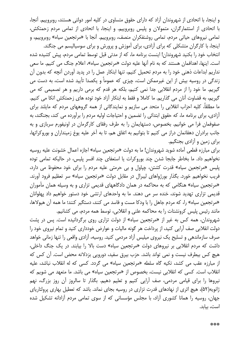و اینجا، با اتحادی از شهروندان آزاد که دارای حقوق متساوی در کلیه امور دولتی هستند، روبروییم. آنجا، با اتحادی از استثمارگران، متمولان و پلیس روبروییم. و اینجا، با اتحادی از تمامی مردم زحمتکش، تمامی نیروهای حیاتی مردم، تمامی روشنفکران منصف، روبروییم. آنجا با «مرتجعین سیاه» روبروییم، و اینجا، با کارگران متشکلی که برای آزادی، برای آموزش و پرورش و برای سوسیالیسم می جنگند.

انتخاب خود را بکنید شهروندان! اینست برنامه ما، که از مدتی قبل توسط تمامی مردم، پیش کشیده شده است. اینها، اهدافمان هستند که به نام آنها علیه دولت «مرتجعین سیاه»، اعلام جنگ می کنیم. ما سعی نداریم ابداعات ذهنی خود را به مردم تحمیل کنیم، تنها ابتکار عمل را در پدید آوردن آنچه که بدون آن زندگی در روسیه بیش از این غیرممکن است، چیزی که عموماً و یکصدا تأیید شده است، به دست می گیریم. ما خود را از مردم انقلابی جدا نمی کنیم، بلکه هر قدم که برمی داریم و هر تصمیمی که می گیریم، به قضاوت آنان می گذاریم. ما کاملا و فقط به ابتکار آزاد خود توده های زحمتکش اتکا می کنیم. ما مطلقاً، کلیه احزاب انقلابی را متحد می سازیم و نمایندگانی از همه گروههای مردم که مایلند برای آزادی، برای برنامه ما، که حقوق ابتدائی را تضمین و احتیاجات اولیه مردم را برآورده می کند، بجنگند، به صفوفمان فرا می خوانیم. بخصوص، دستهایمان را به طرف رفقای کارگرمان در اونیفورم سربازی و به جانب برادران دهقانمان دراز می کنیم تا بتوانیم به اتفاق هم، تا به آخر علیه یوغ زمینداران و بوروکراتها، برای زمین و آزادی بجنگیم.

برای مبارزه قطعی آماده شوید شهروندان! ما به دولت «مرتجعین سیاه» اجازه اعمال خشونت علیه روسیه نخواهیم داد. ما بخاطر جابجا شدن چند بوروکرات یا استعفای چند افسر پلیس، در حالیکه تمامی توده پلیس «مرتجعین سیاه» قدرت کشتن، چپاول و بی حرمتی علیه مردم را برای خود محفوظ می دارد، فریب نخواهیم خورد. بگذار بورژواهای لیبرال در مقابل دولت «مرتجعین سیاه» سر تعظیم فرود آورند. «مرتجعین سیاه» هنگامی که به محاکمه در همان دادگاههای قدیمی تزاری و به وسیله همان مأموران قدیمی تزاری تهدید شوند، خنده سر می دهند. ما به واحدهای ارتشی خود دستور خواهیم داد پهلوانان «مرتجعین سیاه» را، که مردم جاهل را با ودکا مست و فاسد می کنند، دستگیر کنند؛ ما همه آن هیولاها، مانند رئیس پلیس کرونشتات را به محاکمه علنی و انقلابی، توسط همه مردم، می کشانیم.

شهروندان، همه کس به غیر از «مرتجعین سیاه» از دولت تزاری روی برگردانیده است. پس در پشت دولت انقلابی صف آرایی کنید، از پرداخت هر گونه مالیات و عوارض خودداری کنید و تمام نیروی خود را صرف سازماندهی و تسلیح یک نیروی میلیس آزاد مردمی کنید. روسیه، آزادی واقعی را تنها زمانی خواهد داشت که مردم انقلابی بر نیروهای دولت «مرتجعین سیاه» دست بالا را بیابند. در یک جنگ داخلی، هیچ کس بیطرف نیست و نمی تواند باشد. حزب بیرق سفید، دورویی بزدلانه محض است. آن کس که از مبارزه عقب می کشد، تکیه گاه سلطه «مرتجعین سیاه» می گردد. کسی که له انقلاب نباشد، علیه انقلاب است. کسی که انقلابی نیست، بخصوص از «مرتجعین سیاه» می باشد. ما متعهد می شویم که نیروها را برای قیامی مردمی، صف آرایی کنیم و تعلیم دهیم. بگذار تا سالروز آن روز بزرگ، نهم ژانویه(۵۲)، هیچ اثری از نهادهای قدرت تزاری در روسیه بجای نماند. باشد که تعطیل بهاری پرولتاریای جهان، روسیه را همانا کشوری آزاد، با مجلس مؤسسانی که از سوی تمامی مردم آزادانه تشکیل شده است، بيابد.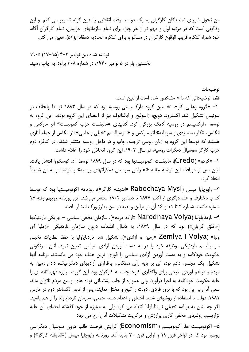من تحول شورای نمایندگان کارگران به یک دولت موقت انقلابی را بدین گونه تصویر می کنم. و این وظایفی است که در مرتبه اول و مهم تر از هر چیز، برای تمام سازمانهای حزبمان، تمام کارگران آگاه، خود شورا، کنگره قریب الوقوع کارگران در مسکو و برای کنگره اتحادیه دهقانان(۵۳)، معین می کنم.

نوشته شده بین نوامبر ۲–۴ (۱۵–۱۷) ۱۹۰۵ نخستین بار در ۵ نوامبر ۱۹۴۰، در شماره ۳۰۸ پراودا به چاپ رسید.

فقط توضيحاتي كه با \* مشخص شده است از لنين است. ۱– «گروه رهایی کار»، نخستین گروه مارکسیستی روسیه بود که در سال ۱۸۸۳ توسط پلخانف در سوئیس تشکیل شد. اکسلرود، دویچ، زاسولیچ و ایگناتوف نیز از اعضای این گروه بودند. این گروه به توسعه مارکسیسم در روسیه کمک بزرگی کرد. کتابهای «مانیفست حزب کمونیست» اثر مارکس و انگلس، «کار دستمزدی و سرمایه» اثر مارکس و «سوسیالیسم تخیلی و علمی» اثر انگلس از جمله آثاری هستند که توسط این گروه به زبان روسی ترجمه، چاپ و در داخل روسیه منتشر شدند. در کنگره دوم حزب کارگر سوسیال دمکرات روسیه، در سال ۱۹۰۳، این گروه انحلال خود را اعلام داشت.

توضيحات

۲– «کردو» (Credo)، مانیفست اکونومیستها بود که در سال ۱۸۹۹ توسط ا.د. کوسکووا انتشار یافت. لنین پس از دریافت این نوشته مقاله «اعتراض سوسیال دمکراتهای روسیه» را نوشت و به آن شدیداً انتقاد کرد.

۳- رابوچایا میسل (Rabochaya Mysl «اندیشه کارگر»)، روزنامه اکونومیستها بود که توسط ک.م. تاختارف و عده دیگری از اکتبر ۱۸۹۷ تا دسامبر ۱۹۰۲ منتشر می شد. این روزنامه رویهم رفته ۱۶ شماره داشت. شماره ۳ تا ۱۱ و ۱۶ آن در برلین و بقیه در سن پطرزبورگ انتشار یافت.

۴- ناردنایاولیا (Narodnaya Volya «اراده مردم»)، سازمان مخفی سیاسی - چریکی ناردنیکها («خلق گرایان») بود که در سال ۱۸۷۹، به دنبال انشعاب درون سازمان ناردنیکی «زملیا ای وليا» (Zemlya I Volya «زمين و آزادي»)، تشكيل شد. ناردناياوليا با حفظ نظريات تخيلي سوسیالیسم ناردنیکی، وظیفه خود را در به دست آوردن آزادی سیاسی تعیین نمود. آنان سرنگونی حکومت خودکامه و به دست آوردن آزادی سیاسی را فوری ترین هدف خود می دانستند. برنامه آنها تشکیل یک مجلس دائم توده ای بر پایه رأی همگانی، برقراری آزادیهای دمکراتیک، دادن زمین به مردم و فراهم آوردن طرحی برای واگذاری کارخانجات به کارگران بود. این گروه، مبارزه قهرمانانه ای را علیه حکومت خودکامه به اجرا درآورد. ولی همواره از جلب پشتیبانی توده های وسیع مردم ناتوان ماند. سعی آنان بر این بود که با ترور فردی، دولت را گیج و مختل نمایند. پس از ترور الکساندر دوم در مارس ١٨٨١، دولت با استفاده از روشهای شدید اختناق و اعدام دسته جمعی، سازمان ناردنایاولیا را از هم یاشید. اگر چه لنین به برنامه تخیلی ناردنایاولیا انتقاد می کرد ولی به مبارزه از خود گذشته اعضای آن علیه تزاریسم، روشهای مخفی کاری پرارزش و مرکزیت تشکیلات آنان ارج می نهاد.

۵– اکونومیست ها. اکونومیسم (ECONOMISM) گرایش فرصت طلب درون سوسیال دمکراسی روسیه بود که در اواخر قرن ۱۹ و اوایل قرن ۲۰ پدید آمد. روزنامه رابوچایا میسل («اندیشه کارگر») و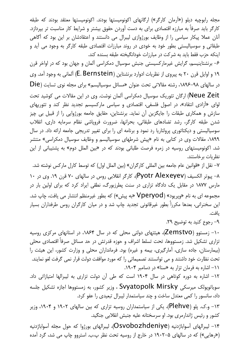مجله رابوچیه دیلو («آرمان کارگر») ارگانهای اکونومیستها بودند. اکونومیستها معتقد بودند که طبقه کارگر باید صرفاً به مبارزه اقتصادی برای به دست آوردن حقوق بیشتر و شرایط کار مناسبت تر بپردازد. آنان عملا پیکار سیاسی را از وظایف بورژوازی لیبرال می دانستند و اعتقادشان بر این بود که آگاهی طبقاتی و سوسیالیستی بطور خود به خودی در روند مبارزات اقتصادی طبقه کارگر به وجود می آید و اینکه حزب فقط باید به شرکت در مبارزات خودانگیخته طبقه بسنده کند.

۶– برنشتاینیسم، گرایش غیرمارکسیستی جنبش سوسیال دمکراسی آلمان و جهان بود که در اواخر قرن ۱۹ و اوایل قرن ۲۰ به پیروی از نظریات ادوارد برنشتاین (E. Bernstein) آلمانی به وجود آمد. وی در سالهای ۹۸–۱۸۹۶، رشته مقالاتی تحت عنوان «مسائل سوسیالیسم» برای مجله نوی تسایت (Die Neue Zeit) ارگان تئوریک سوسیال دمکراسی آلمان نوشت. وی در این مقالات می کوشید تحت لوای «آزادی انتقاد»، در اصول فلسفی، اقتصادی و سیاسی مارکسیسم تجدید نظر کند و تئوریهای سازش و همکاری طبقات را جایگزین آن نماید. برنشتاین، حقایق جامعه بورژوایی را از قبیل بی چیز شدن طبقه کارگر، رشد تضادهای طبقاتی، بحرانها، ضرورت فروپاشی نظام سرمایه داری، انقلاب سوسیالیستی و دیکتاتوری پرولتاریا رد نمود و برنامه ای را برای تغییر تدریجی جامعه ارائه داد. در سال ۱۸۹۹، مقالات وی در کتابی به نام «پیش شرطهای سوسیالیسم و وظایف سوسیال دمکراسی» منتشر شد. اکونومیستهای روسیه در زمره فرصت طلبانی بودند که در «بین الملل دوم» به پشتیبانی از این نظریات برخاستند.

۷– نقل از «قوانین عام جامعه بین المللی کارگران» (بین الملل اول) که توسط کارل مارکس نوشته شد. ٨– ييوتر الكسيف (Pyotr Alexeyev)، كارگر انقلابي روس در سالهاي ٧٠ قرن ١٩. وي در ١٠ مارس ۱۸۷۷ در مقابل یک دادگاه تزاری در سنت پطرزبورگ، نطقی ایراد کرد که برای اولین بار در مجموعه ای به نام «ویریود» (Vperyod «به پیش») که بطور غیرمنظم انتشار می یافت، چاپ شد. این سخنرانی، بعدها مکرراً بطور غیرقانونی تجدید چاپ شد و در میان کارگران روس طرفداران بسیار ىافت.

۹- رجوع کنید به توضیح ۲۹.

۱۰- زمستوو (Zemstvo)، هیئتهای دولتی محلی که در سال ۱۸۶۴، در استانهای مرکزی روسیه تزاری تشکیل شد. زمستووها، تحت تسلط اشراف و حوزه قدرتش در حد مسائل صرفاً اقتصادی محلی (بیمارستان، جاده سازی، آمارگیری، بیمه و غیره) بود. فرمانداران محلی و وزارت کشور، این هیئت را تحت نظارت خود داشتند و می توانستند تصمیماتی را که مورد موافقت دولت قرار نمی گرفت لغو نمایند. / ١- اشاره به فرمان تزار به «سنا» در دسامبر ١٩٠۴.

۱۲– اشاره به دوره کوتاهی در سال ۱۹۰۴ است که طی آن دولت تزاری به لیبرالها امتیازاتی داد. سویاتوپولک میرسکی Svyatopolk Mirsky ، وزیر کشور، به زمستووها اجازه تشکیل جلسه داد، سانسور را کمی معتدل ساخت و چند سیاستمدار لیبرال تبعیدی را عفو کرد.

۱۳– و.ک. پلو (Plehve)، یکی از سیاستمداران روسیه تزاری که بین سالهای ۱۹۰۲ و ۱۹۰۴، وزیر کشور و رئيس ژاندارمري بود. او سرسختانه عليه جنبش انقلابي جنگيد.

۱۴– لیبرالهای آسواباژدنیه (Osvobozhdeniye)، لیبرالهای بورژوا که حول مجله آسواباژدنیه («رهایی») که در سالهای ۵–۱۹۰۲ در خارج از روسیه تحت نظر پ.ب. استروو چاپ می شد، گرد آمده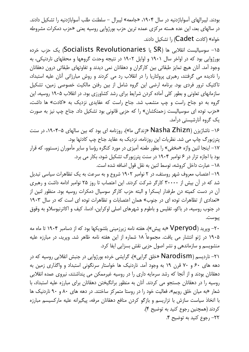بودند. لیبرالهای آسواباژدنیه در سال ۱۹۰۴، «جامعه» لیبرال – سلطنت طلب آسواباژدنیه را تشکیل دادند. در سالهای بعد، این عده هسته مرکزی عمده ترین حزب بورژوایی روسیه یعنی «حزب دمکرات مشروطه خواه» (كادت Cadet) را تشكيل دادند.

۱۵– سوسیالیست انقلابی ها (SR یا Socialists Revolutionaries) یک حزب خرده بورژوایی بود که در اواخر سال ۱۹۰۱ و اوایل ۱۹۰۲ در نتیجه وحدت گروهها و محفلهای ناردنیکی، به وجود آمد. آنان هیچ تمایز طبقاتی بین کارگران و دهقانان نمی دیدند و تفاوتهای طبقاتی درون دهقانان را نادیده می گرفتند، رهبری پرولتاریا را در انقلاب رد می کردند و روش مبارزاتی آنان علیه استبداد، تاکتیک ترور فردی بود. برنامه ارضی این گروه شامل از بین رفتن مالکیت خصوصی زمین، تشکیل سازمانهای تعاونی و بطور کلی آماده کردن شرایط برای رشد کشاورزی بود. در انقلاب ۱۹۰۵ روسیه، این گروه به دو جناح راست و چپ منشعب شد. جناح راست که عقایدی نزدیک به «کادت» ها داشت، «حزب توده ای سوسیالیست زحمتکشان» را که حزبی قانونی بود تشکیل داد. جناح چپ نیز به صورت یک گروه آنارشیستی درآمد.

۱۶– ناشاژیزن (Nasha Zhizn «زندگی ما»)، روزنامه ای بود که بین سالهای ۵–۱۹۰۴، در سنت يترزبورگ چاپ مي شد. نظريات اين روزنامه، نزديک به عقايد جناح چپ کادتها بود. ١٧- اینجا لنین واژه «مخفی» را بطور طعنه آمیزی در مورد کنگره رؤسا و سایر مأموران زمستوو، که قرار بود با اجازه تزار در ۶ نوامبر ۱۹۰۴ در سنت پترزبورگ تشکیل شود، بکار می برد.

١٨- عبارت داخل كروشه، توسط لنين به نقل قول اضافه شده است.

۱۹– اعتصاب معروف شهر روستف، در ۲ نوامبر ۱۹۰۲ شروع و به سرعت به یک تظاهرات سیاسی تبدیل شد که در آن بیش از ۳۰۰۰۰ کارگر شرکت کردند. این اعتصاب تا روز ۲۵ نوامبر ادامه داشت و رهبری آن در دست کمیته دن طرفدار ایسکرا و البته حزب کارگر سوسیال دمکرات روسیه بود. منظور لنین از «تعدادی از تظاهرات توده ای در جنوب» همان اعتصابات و تظاهرات توده ای است که در سال ۱۹۰۳ در جنوب روسیه، در باکو، تفلیس و باطوم و شهرهای اصلی اوکراین، ادسا، کیف و اکاترنیوسلاو به وقوق ييوست.

۲۰– وپرید (Vperyod «به پیش»)، هفته نامه زیرزمینی بلشویکها بود که از دسامبر ۱۹۰۴ تا ماه مه ۱۹۰۵ در ژنو انتشار می یافت. مجموعاً ۱۸ شماره از این هفته نامه ظاهر شد. وپرید، در مبارزه علیه منشویسم و سازماندهی و نشر اصول حزبی نقش بسزایی ایفا کرد.

۲۱– ناردیسم (Narodism «خلق گرایی»)، گرایشی خرده بورژوایی در جنبش انقلابی روسیه که در دهه های ۶۰ و ۷۰ قرن ۱۹ به وجود آمد. ناردنیک ها خواستار سرنگونی استبداد و واگذاری زمین به دهقانان بودند و از آنجا که رشد سرمایه داری را در روسیه غیرممکن می پنداشتند، نیروی عمده انقلابی روسیه را در دهقانان جستجو می کردند. آنان به منظور برانگیختن دهقانان برای مبارزه علیه استبداد، با شعار «به میان خلق رویم»، فعالیت خود را در روستا متمرکز ساختند. در دهه های ۸۰ و ۹۰ ناردنیک ها با اتخاذ سیاست سازش با تزاریسم و بازگو کردن منافع دهقانان مرفه، پیگیرانه علیه مارکسیسم مبارزه کردند (همچنین رجوع کنید به توضیح ۴). ٢٢- رجوع كنيد به توضيح ۴.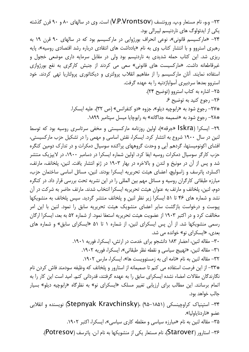۲۳- و.و، نام مستعار و.پ. ورونتسف (V.P.Vrontsov) است. وی در سالهای ۸۰ و ۹۰ قرن گذشته یکی از ایدئولوگ های ناردنیسم لیبرالی بود. ۲۴– «مارکسیسم قانونی»، نوعی انحراف بورژوایی در مارکسیسم بود که در سالهای ۹۰ قرن ۱۹ به رهبری استروو و با انتشار کتاب وی به نام «یادداشت های انتقادی درباره رشد اقتصادی روسیه»، پایه ریزی شد. این کتاب حمله شدیدی به ناردنیسم بود ولی در مقابل سرمایه داری موضعی خجول و غیرقاطعانه داشت. «مارکسیست های قانونی» سعی می کردند از جنبش کارگری به نفع بورژوازی استفاده نمایند. آنان مارکسیسم را از مفاهیم انقلاب پرولتری و دیکتاتوری پرولتاریا تهی کردند. خود استروو بعدها سردبیری آسواباژدنیه را به عهده گرفت. ٢۵- اشاره به كتاب استروو (توضيح ٢۴). ٢۶- رجوع كنيد به توضيح ۶. \*۲۷+ رجوع شود به «رابوچیه دیلو»، جزوه «دو کنفرانس» (ص ۳۲)، علیه ایسکرا. \*۲۸+ رجوع شود به «ضمیمه جداگانه» به رابوچایا میسل سپتامبر ۱۸۹۹. ۲۹– ایسکرا (Iskra «جرقه»)، اولین روزنامه مارکسیستی و مخفی سرتاسری روسیه بود که توسط لنین در سال ۱۹۰۰ شروع به انتشار کرد. ایسکرا، نقش اساسی و مهمی را در تشکیل حزب مارکسیستی، افشای اکونومیستها، گردهم آیی و وحدت گروههای پراکنده سوسیال دمکرات و در تدارک دومین کنگره حزب کارگر سوسیال دمکرات روسیه ایفا کرد. اولین شماره ایسکرا در دسامبر ۱۹۰۰، در لایپزیک منتشر شد و پس از آن در مونیخ و لندن و بالاخره در بهار ۱۹۰۳ در ژنو انتشار یافت. لنین، پلخانف، مارتف، اکسلرد، پاترسف و زاسولیچ، اعضای هیئت تحریریه ایسکرا بودند. لنین، مسائل اساسی ساختمان حزب، مبارزه طبقاتی کارگران روسیه و مسائل مهم بین المللی را در این نشریه تحت بررسی قرار داد. در کنگره دوم، لنین، پلخانف و مارتف به عنوان هیئت تحریریه ایسکرا انتخاب شدند. مارتف حاضر به شرکت در آن نشد و شماره های ۴۶ تا ۵۱ ایسکرا زیر نظر لنین و پلخانف منتشر گردید. سپس پلخانف به منشویکها پیوست و درخواست بازگشت سایر اعضای منشویک هیئت تحریریه سابق را نمود. لنین با این امر مخالفت کرد و در اکتبر ۱۹۰۳ از عضویت هیئت تحریریه استعفا نمود. از شماره ۵۲ به بعد، ایسکرا ارگان رسمی منشویکها شد. از آن پس ایسکرای لنین، از شماره ۱ تا ۵۱ «ایسکرای سابق» و شماره های بعدی، «ایسکرای نو» خوانده می شد. ٣٠- مقاله لنين، احضار ١٨٣ دانشجو براى خدمت در ارتش، ايسكرا، فوريه ١٩٠١. ٣١- مقاله لنين، «تهييج سياسي و نقطه نظر طبقاتي»، ايسكرا، فوريه ١٩٠٢. ٣٢- مقاله لنين به نام «نامه اي به زمستوويست ها»، ايسكرا، مارس ١٩٠٢. \*٣٣- از اين فرصت استفاده مي كنم تا صميمانه از استارور و يلخانف كه وظيفه سودمند فاش كردن نام نگارندگان مقالات امضاء نشده ایسکرای سابق را به عهده گرفتند، قدردانی کنم. امید است این کار را به اتمام برسانند. این مطالب برای ارزیابی تغییر مسلک «ایسکرای نو» به نظرگاه «رابوچیه دیلو» بسیار جالب خواهد بود. ۳۴– استینیاک کراوچینسکی (۵۸۱–۹۵–۹۵) ،(Stepnyak Kravchinsky) نویسنده و انقلابی عضو «ناردناباوليا». ۳۵- مقاله لنین به نام «مبارزه سیاسی و مغلطه کاری سیاسی»، ایسکرا، اکتبر ۱۹۰۲.

۳۶- استارور (Starover)، نام مستعار یکی از منشویکها به نام ا.ن. پاترسف (Potresov).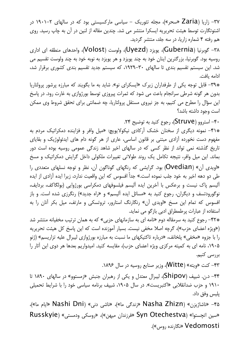۳۷- زاریا (Zaria «سحر»)، مجله تئوریک – سیاسی مارکسیستی بود که در سالهای ۲-۱۹۰۱ در اشتوتگارت توسط هیئت تحریریه ایسکرا منتشر می شد. چندین مقاله از لنین در آن به چاپ رسید. روی هم رفته ۴ شماره زاریا، در سه جلد، منتشر گردید.

۳۸– گوبرنیا (Gubernia)، یویزد (Uyezd)، ولوست (Volost)، واحدهای منطقه ای اداری روسیه بود. گوبرنیا، بزرگترین اینان خود به چند پویزد و هر پویزد به نوبه خود به چند ولوست تقسیم می شد. این سیستم تقسیم بندی تا سالهای ۳۰–۱۹۲۹، که سیستم جدید تقسیم بندی کشوری برقرار شد، ادامه بافت.

\*\*٣٩- قابل توجه یکی از طرفداران زیرک «ایسکرای نو». شاید به ما بگویند که مبارزه پرشور پرولتاریا بدون هر گونه شرطی سرانجام باعث می شود که ثمرات پیروزی توسط بورژوازی به غارت رود. در پاسخ این سؤال را مطرح می کنیم، به جز نیروی مستقل پرولتاریا، چه ضمانتی برای تحقق شروط وی ممکن است وجود داشته باشد؟

۴۰– استروو (Struve)، رجوع کنید به توضیح ۲۴.

\***۴۱+** نمونه دیگری از سخنان خشک آرکادی نیکولایویچ: «میل وافر و فزاینده دمکراتیک مردم به مفهوم دست نخورده آزادی مبتنی بر قانون اساسی، عاری از هر گونه دام های ایدئولوژیک و بقایای تاریخ گذشته نمی تواند از نظر کسی که در سالهای اخیر شاهد زندگی عمومی روسیه بوده است دور بماند. این میل وافر، نتیجه تکامل یک روند طولانی تغییرات ملکولی داخل گرایش دمکراتیک و مسخ «اویدی آن» (Ovedian) بود. گرایشی که رنگهای گوناگون آن، نظر و توجه نسلهای متعددی را طی دو دهه اخیر به خود جلب نموده است.» جداً افسوس که این واقعیت ندارد، زیرا ایده آزادی از ایده آلیسم پاک نیست و برعکس با آخرین ایده آلیسم فیلسوفهای دمکراسی بورژوایی (بولگاکف، بردایف، نوگورودتسف و دیگران، رجوع کنید به «مسائل ایده آلیسم» و «راه جدید») رنگرزی شده است. و باز افسوس که تمام این مسخ «اویدی آن» رنگارنگ استارور، تروتسکی و مارتف، میل بکر آنان را به استفاده از عبارات پرطمطراق ادبی بازگو می نماید.

\*\*۲۲- رجوع کنید به سرمقاله دوم «نامه ای به سازمانهای حزبی» که به همان ترتیب مخفیانه منتشر شد («ویژه اعضای حزب»)، گرچه اصلا مخفی نیست. بسیار آموزنده است که این پاسخ کل هیئت تحریریه را با جزوه «مخفی» پلخانف، «درباره تاکتیکهای ما نسبت به مبارزه بورژوازی لیبرال علیه تزاریسم» (ژنو ۰۱۹۰۵ نامه ای به کمیته مرکزی ویژه اعضای حزب)، مقایسه کنید. امیدواریم بعدها هر دوی این آثار را بررسی کنیم.

۴۳– کنت «ویته» (Witte)، وزیر صنایع روسیه در سال ۱۸۹۶.

۴۴- د.ن. شیپف (Shipov)، لیبرال معتدل و یکی از رهبران جنبش «زمستوو» در سالهای ۱۸۹۰ تا ۱۹۱۰ و حزب ضدانقلابی «اکتبریست». در سال ۱۹۰۵، شیپف برنامه سیاسی خود را با شرایط تحمیلی يليس وفق داد.

۴۵– «ناشاژیزن» (Nasha Zhizn «زندگی ما»)، «ناشی دنی» (Nashi Dni «ایام ما»)، هروسكي ودمستي» (Syn Otechestva «فرزندان ميهن»)، «روسكي ودمستي» (Russkyie Vedomosti «نگارنده روس»).